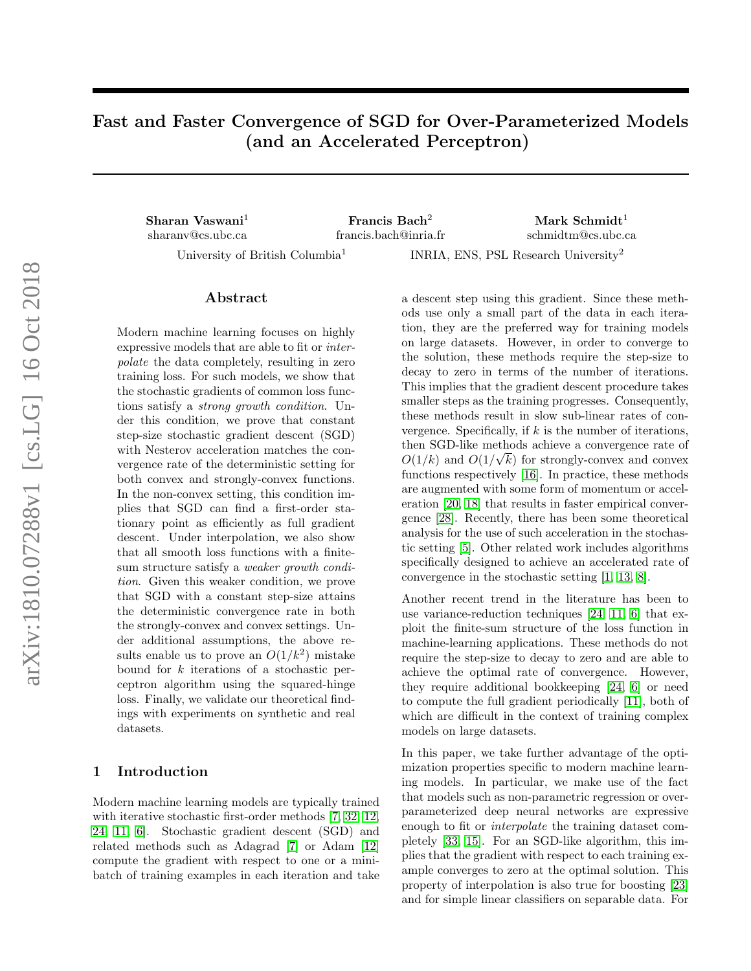# Fast and Faster Convergence of SGD for Over-Parameterized Models (and an Accelerated Perceptron)

Sharan Vaswani<sup>1</sup> Francis Bach<sup>2</sup> Mark Schmidt<sup>1</sup> sharanv@cs.ubc.ca francis.bach@inria.fr schmidtm@cs.ubc.ca

University of British Columbia<sup>1</sup>

INRIA, ENS, PSL Research University<sup>2</sup>

### Abstract

Modern machine learning focuses on highly expressive models that are able to fit or interpolate the data completely, resulting in zero training loss. For such models, we show that the stochastic gradients of common loss functions satisfy a strong growth condition. Under this condition, we prove that constant step-size stochastic gradient descent (SGD) with Nesterov acceleration matches the convergence rate of the deterministic setting for both convex and strongly-convex functions. In the non-convex setting, this condition implies that SGD can find a first-order stationary point as efficiently as full gradient descent. Under interpolation, we also show that all smooth loss functions with a finitesum structure satisfy a weaker growth condition. Given this weaker condition, we prove that SGD with a constant step-size attains the deterministic convergence rate in both the strongly-convex and convex settings. Under additional assumptions, the above results enable us to prove an  $O(1/k^2)$  mistake bound for k iterations of a stochastic perceptron algorithm using the squared-hinge loss. Finally, we validate our theoretical findings with experiments on synthetic and real datasets.

## 1 Introduction

Modern machine learning models are typically trained with iterative stochastic first-order methods [\[7,](#page-7-0) [32,](#page-8-0) [12,](#page-7-1) [24,](#page-8-1) [11,](#page-7-2) [6\]](#page-7-3). Stochastic gradient descent (SGD) and related methods such as Adagrad [\[7\]](#page-7-0) or Adam [\[12\]](#page-7-1) compute the gradient with respect to one or a minibatch of training examples in each iteration and take

a descent step using this gradient. Since these methods use only a small part of the data in each iteration, they are the preferred way for training models on large datasets. However, in order to converge to the solution, these methods require the step-size to decay to zero in terms of the number of iterations. This implies that the gradient descent procedure takes smaller steps as the training progresses. Consequently, these methods result in slow sub-linear rates of convergence. Specifically, if  $k$  is the number of iterations, then SGD-like methods achieve a convergence rate of √  $O(1/k)$  and  $O(1/\sqrt{k})$  for strongly-convex and convex functions respectively [\[16\]](#page-8-2). In practice, these methods are augmented with some form of momentum or acceleration [\[20,](#page-8-3) [18\]](#page-8-4) that results in faster empirical convergence [\[28\]](#page-8-5). Recently, there has been some theoretical analysis for the use of such acceleration in the stochastic setting [\[5\]](#page-7-4). Other related work includes algorithms specifically designed to achieve an accelerated rate of convergence in the stochastic setting [\[1,](#page-7-5) [13,](#page-7-6) [8\]](#page-7-7).

Another recent trend in the literature has been to use variance-reduction techniques [\[24,](#page-8-1) [11,](#page-7-2) [6\]](#page-7-3) that exploit the finite-sum structure of the loss function in machine-learning applications. These methods do not require the step-size to decay to zero and are able to achieve the optimal rate of convergence. However, they require additional bookkeeping [\[24,](#page-8-1) [6\]](#page-7-3) or need to compute the full gradient periodically [\[11\]](#page-7-2), both of which are difficult in the context of training complex models on large datasets.

In this paper, we take further advantage of the optimization properties specific to modern machine learning models. In particular, we make use of the fact that models such as non-parametric regression or overparameterized deep neural networks are expressive enough to fit or interpolate the training dataset completely [\[33,](#page-8-6) [15\]](#page-8-7). For an SGD-like algorithm, this implies that the gradient with respect to each training example converges to zero at the optimal solution. This property of interpolation is also true for boosting [\[23\]](#page-8-8) and for simple linear classifiers on separable data. For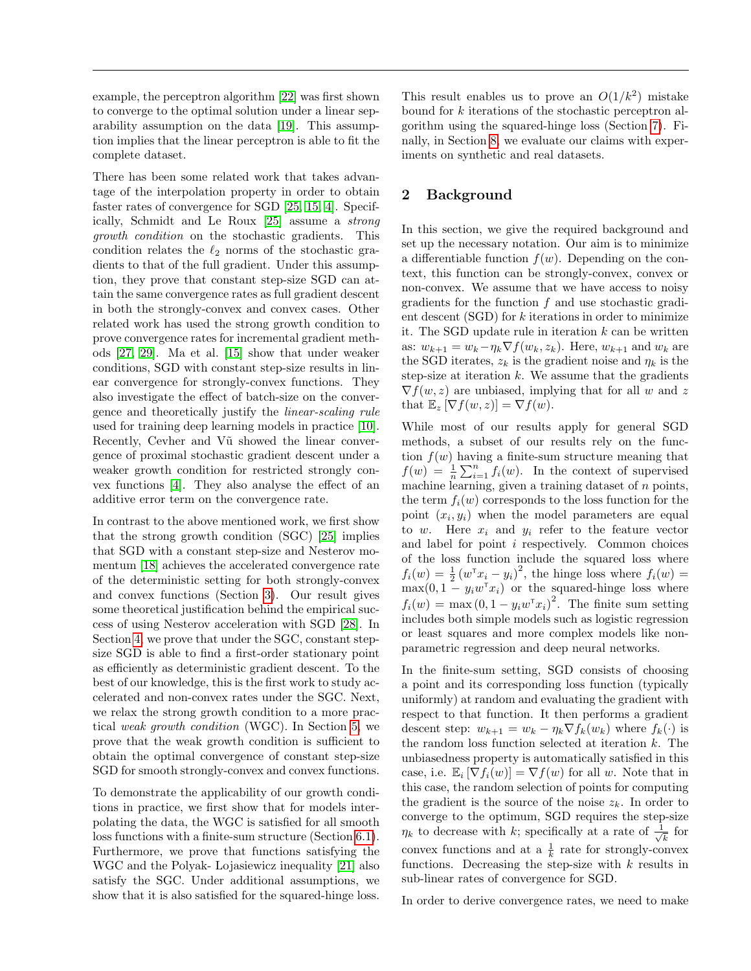example, the perceptron algorithm [\[22\]](#page-8-9) was first shown to converge to the optimal solution under a linear separability assumption on the data [\[19\]](#page-8-10). This assumption implies that the linear perceptron is able to fit the complete dataset.

There has been some related work that takes advantage of the interpolation property in order to obtain faster rates of convergence for SGD [\[25,](#page-8-11) [15,](#page-8-7) [4\]](#page-7-8). Specifically, Schmidt and Le Roux [\[25\]](#page-8-11) assume a strong growth condition on the stochastic gradients. This condition relates the  $\ell_2$  norms of the stochastic gradients to that of the full gradient. Under this assumption, they prove that constant step-size SGD can attain the same convergence rates as full gradient descent in both the strongly-convex and convex cases. Other related work has used the strong growth condition to prove convergence rates for incremental gradient methods [\[27,](#page-8-12) [29\]](#page-8-13). Ma et al. [\[15\]](#page-8-7) show that under weaker conditions, SGD with constant step-size results in linear convergence for strongly-convex functions. They also investigate the effect of batch-size on the convergence and theoretically justify the linear-scaling rule used for training deep learning models in practice [\[10\]](#page-7-9). Recently, Cevher and V $\tilde{u}$  showed the linear convergence of proximal stochastic gradient descent under a weaker growth condition for restricted strongly convex functions [\[4\]](#page-7-8). They also analyse the effect of an additive error term on the convergence rate.

In contrast to the above mentioned work, we first show that the strong growth condition (SGC) [\[25\]](#page-8-11) implies that SGD with a constant step-size and Nesterov momentum [\[18\]](#page-8-4) achieves the accelerated convergence rate of the deterministic setting for both strongly-convex and convex functions (Section [3\)](#page-2-0). Our result gives some theoretical justification behind the empirical success of using Nesterov acceleration with SGD [\[28\]](#page-8-5). In Section [4,](#page-3-0) we prove that under the SGC, constant stepsize SGD is able to find a first-order stationary point as efficiently as deterministic gradient descent. To the best of our knowledge, this is the first work to study accelerated and non-convex rates under the SGC. Next, we relax the strong growth condition to a more practical weak growth condition (WGC). In Section [5,](#page-3-1) we prove that the weak growth condition is sufficient to obtain the optimal convergence of constant step-size SGD for smooth strongly-convex and convex functions.

To demonstrate the applicability of our growth conditions in practice, we first show that for models interpolating the data, the WGC is satisfied for all smooth loss functions with a finite-sum structure (Section [6.1\)](#page-4-0). Furthermore, we prove that functions satisfying the WGC and the Polyak- Lojasiewicz inequality [\[21\]](#page-8-14) also satisfy the SGC. Under additional assumptions, we show that it is also satisfied for the squared-hinge loss.

This result enables us to prove an  $O(1/k^2)$  mistake bound for k iterations of the stochastic perceptron algorithm using the squared-hinge loss (Section [7\)](#page-4-1). Finally, in Section [8,](#page-5-0) we evaluate our claims with experiments on synthetic and real datasets.

## <span id="page-1-0"></span>2 Background

In this section, we give the required background and set up the necessary notation. Our aim is to minimize a differentiable function  $f(w)$ . Depending on the context, this function can be strongly-convex, convex or non-convex. We assume that we have access to noisy gradients for the function  $f$  and use stochastic gradient descent  $(SGD)$  for  $k$  iterations in order to minimize it. The SGD update rule in iteration  $k$  can be written as:  $w_{k+1} = w_k - \eta_k \nabla f(w_k, z_k)$ . Here,  $w_{k+1}$  and  $w_k$  are the SGD iterates,  $z_k$  is the gradient noise and  $\eta_k$  is the step-size at iteration  $k$ . We assume that the gradients  $\nabla f(w, z)$  are unbiased, implying that for all w and z that  $\mathbb{E}_z \left[ \nabla f(w, z) \right] = \nabla f(w)$ .

While most of our results apply for general SGD methods, a subset of our results rely on the function  $f(w)$  having a finite-sum structure meaning that  $f(w) = \frac{1}{n} \sum_{i=1}^{n} f_i(w)$ . In the context of supervised machine learning, given a training dataset of  $n$  points, the term  $f_i(w)$  corresponds to the loss function for the point  $(x_i, y_i)$  when the model parameters are equal to w. Here  $x_i$  and  $y_i$  refer to the feature vector and label for point i respectively. Common choices of the loss function include the squared loss where  $f_i(w) = \frac{1}{2} (w^{\mathsf{T}} x_i - y_i)^2$ , the hinge loss where  $f_i(w) =$  $\max(0, 1 - y_i w^{\mathsf{T}} x_i)$  or the squared-hinge loss where  $f_i(w) = \max(0, 1 - y_i w^{\mathsf{T}} x_i)^2$ . The finite sum setting includes both simple models such as logistic regression or least squares and more complex models like nonparametric regression and deep neural networks.

In the finite-sum setting, SGD consists of choosing a point and its corresponding loss function (typically uniformly) at random and evaluating the gradient with respect to that function. It then performs a gradient descent step:  $w_{k+1} = w_k - \eta_k \nabla f_k(w_k)$  where  $f_k(\cdot)$  is the random loss function selected at iteration k. The unbiasedness property is automatically satisfied in this case, i.e.  $\mathbb{E}_i\left[\nabla f_i(w)\right] = \nabla f(w)$  for all w. Note that in this case, the random selection of points for computing the gradient is the source of the noise  $z_k$ . In order to converge to the optimum, SGD requires the step-size  $\eta_k$  to decrease with k; specifically at a rate of  $\frac{1}{\sqrt{k}}$  $\overline{k}$  for convex functions and at a  $\frac{1}{k}$  rate for strongly-convex functions. Decreasing the step-size with  $k$  results in sub-linear rates of convergence for SGD.

In order to derive convergence rates, we need to make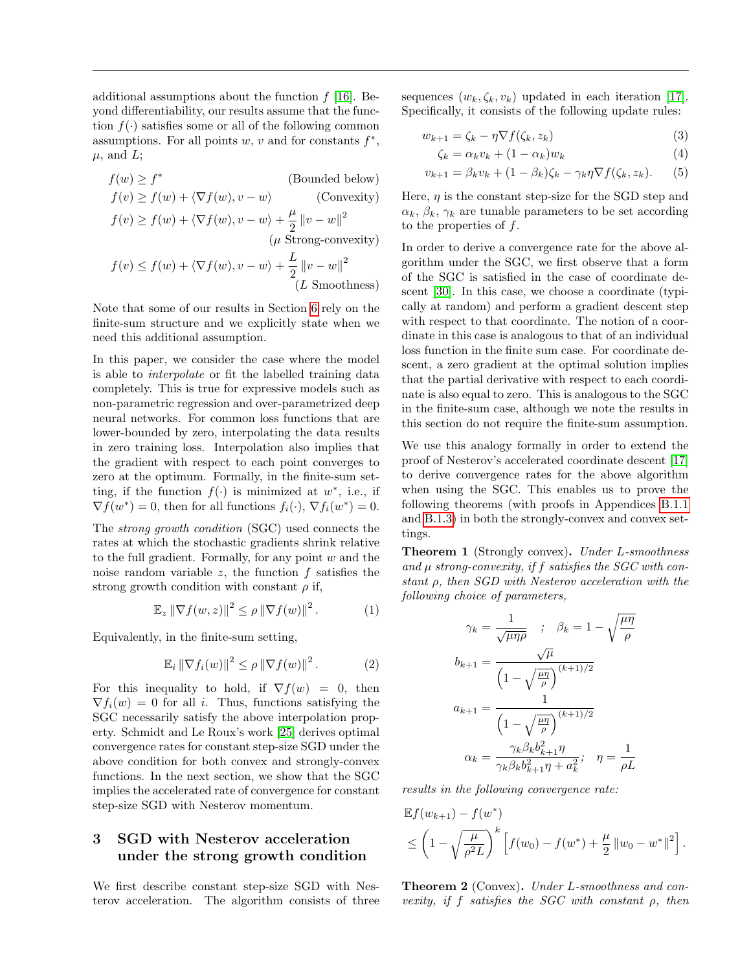additional assumptions about the function  $f(16)$ . Beyond differentiability, our results assume that the function  $f(\cdot)$  satisfies some or all of the following common assumptions. For all points  $w, v$  and for constants  $f^*$ ,  $\mu$ , and L;

$$
f(w) \ge f^*
$$
 (Bounded below)  
\n
$$
f(v) \ge f(w) + \langle \nabla f(w), v - w \rangle
$$
 (Convexity)  
\n
$$
f(v) \ge f(w) + \langle \nabla f(w), v - w \rangle + \frac{\mu}{2} ||v - w||^2
$$
  
\n
$$
(\mu \text{ Strong-convexity})
$$
  
\n
$$
f(v) \le f(w) + \langle \nabla f(w), v - w \rangle + \frac{L}{2} ||v - w||^2
$$
  
\n
$$
(L \text{ Smoothness})
$$

Note that some of our results in Section [6](#page-4-2) rely on the finite-sum structure and we explicitly state when we need this additional assumption.

In this paper, we consider the case where the model is able to interpolate or fit the labelled training data completely. This is true for expressive models such as non-parametric regression and over-parametrized deep neural networks. For common loss functions that are lower-bounded by zero, interpolating the data results in zero training loss. Interpolation also implies that the gradient with respect to each point converges to zero at the optimum. Formally, in the finite-sum setting, if the function  $f(.)$  is minimized at  $w^*$ , i.e., if  $\nabla f(w^*) = 0$ , then for all functions  $f_i(\cdot), \nabla f_i(w^*) = 0$ .

The strong growth condition (SGC) used connects the rates at which the stochastic gradients shrink relative to the full gradient. Formally, for any point  $w$  and the noise random variable  $z$ , the function  $f$  satisfies the strong growth condition with constant  $\rho$  if,

$$
\mathbb{E}_z \left\| \nabla f(w, z) \right\|^2 \le \rho \left\| \nabla f(w) \right\|^2. \tag{1}
$$

Equivalently, in the finite-sum setting,

$$
\mathbb{E}_i \left\| \nabla f_i(w) \right\|^2 \le \rho \left\| \nabla f(w) \right\|^2. \tag{2}
$$

For this inequality to hold, if  $\nabla f(w) = 0$ , then  $\nabla f_i(w) = 0$  for all i. Thus, functions satisfying the SGC necessarily satisfy the above interpolation property. Schmidt and Le Roux's work [\[25\]](#page-8-11) derives optimal convergence rates for constant step-size SGD under the above condition for both convex and strongly-convex functions. In the next section, we show that the SGC implies the accelerated rate of convergence for constant step-size SGD with Nesterov momentum.

## <span id="page-2-0"></span>3 SGD with Nesterov acceleration under the strong growth condition

We first describe constant step-size SGD with Nesterov acceleration. The algorithm consists of three sequences  $(w_k, \zeta_k, v_k)$  updated in each iteration [\[17\]](#page-8-15). Specifically, it consists of the following update rules:

$$
w_{k+1} = \zeta_k - \eta \nabla f(\zeta_k, z_k)
$$
\n(3)

<span id="page-2-5"></span><span id="page-2-3"></span><span id="page-2-2"></span>
$$
\zeta_k = \alpha_k v_k + (1 - \alpha_k) w_k \tag{4}
$$

$$
v_{k+1} = \beta_k v_k + (1 - \beta_k)\zeta_k - \gamma_k \eta \nabla f(\zeta_k, z_k). \tag{5}
$$

Here,  $\eta$  is the constant step-size for the SGD step and  $\alpha_k, \beta_k, \gamma_k$  are tunable parameters to be set according to the properties of f.

In order to derive a convergence rate for the above algorithm under the SGC, we first observe that a form of the SGC is satisfied in the case of coordinate descent [\[30\]](#page-8-16). In this case, we choose a coordinate (typically at random) and perform a gradient descent step with respect to that coordinate. The notion of a coordinate in this case is analogous to that of an individual loss function in the finite sum case. For coordinate descent, a zero gradient at the optimal solution implies that the partial derivative with respect to each coordinate is also equal to zero. This is analogous to the SGC in the finite-sum case, although we note the results in this section do not require the finite-sum assumption.

We use this analogy formally in order to extend the proof of Nesterov's accelerated coordinate descent [\[17\]](#page-8-15) to derive convergence rates for the above algorithm when using the SGC. This enables us to prove the following theorems (with proofs in Appendices [B.1.1](#page-13-0) and [B.1.3\)](#page-14-0) in both the strongly-convex and convex settings.

<span id="page-2-4"></span>Theorem 1 (Strongly convex). Under L-smoothness and  $\mu$  strong-convexity, if  $f$  satisfies the SGC with constant ρ, then SGD with Nesterov acceleration with the following choice of parameters,

$$
\gamma_k = \frac{1}{\sqrt{\mu \eta \rho}} \quad ; \quad \beta_k = 1 - \sqrt{\frac{\mu \eta}{\rho}}
$$

$$
b_{k+1} = \frac{\sqrt{\mu}}{\left(1 - \sqrt{\frac{\mu \eta}{\rho}}\right)^{(k+1)/2}}
$$

$$
a_{k+1} = \frac{1}{\left(1 - \sqrt{\frac{\mu \eta}{\rho}}\right)^{(k+1)/2}}
$$

$$
\alpha_k = \frac{\gamma_k \beta_k b_{k+1}^2 \eta}{\gamma_k \beta_k b_{k+1}^2 \eta + a_k^2}; \quad \eta = \frac{1}{\rho L}
$$

results in the following convergence rate:

$$
\mathbb{E}f(w_{k+1}) - f(w^*)
$$
  
\n
$$
\leq \left(1 - \sqrt{\frac{\mu}{\rho^2 L}}\right)^k \left[f(w_0) - f(w^*) + \frac{\mu}{2} ||w_0 - w^*||^2\right].
$$

<span id="page-2-1"></span>**Theorem 2** (Convex). Under L-smoothness and convexity, if f satisfies the SGC with constant  $\rho$ , then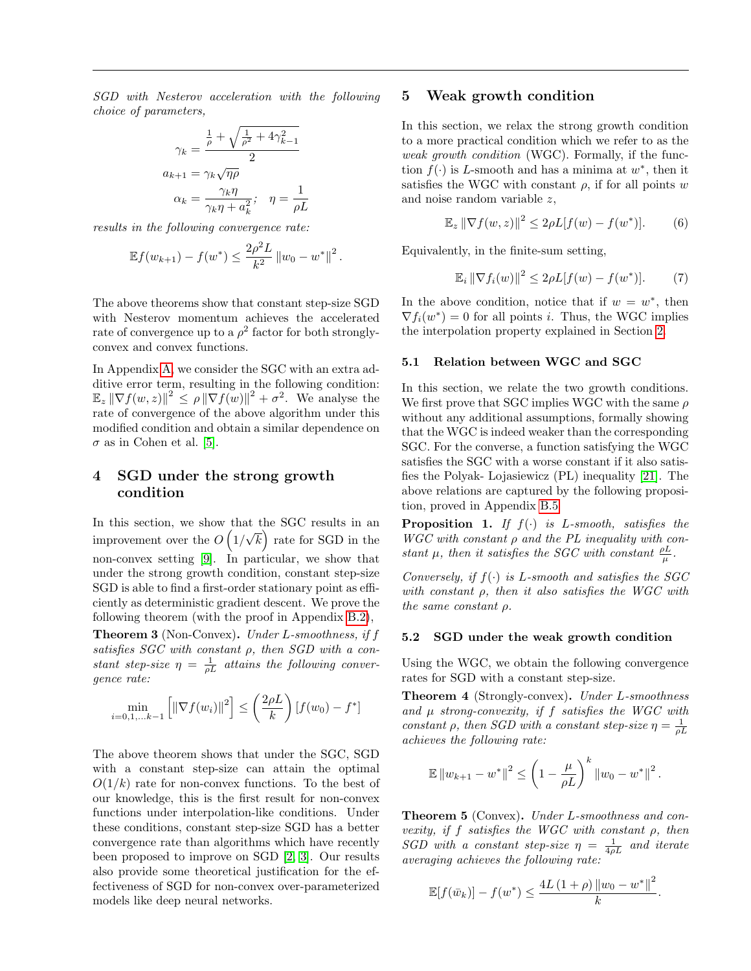SGD with Nesterov acceleration with the following choice of parameters,

$$
\gamma_k = \frac{\frac{1}{\rho} + \sqrt{\frac{1}{\rho^2} + 4\gamma_{k-1}^2}}{2}
$$

$$
a_{k+1} = \gamma_k \sqrt{\eta \rho}
$$

$$
\alpha_k = \frac{\gamma_k \eta}{\gamma_k \eta + a_k^2}; \quad \eta = \frac{1}{\rho L}
$$

results in the following convergence rate:

$$
\mathbb{E}f(w_{k+1}) - f(w^*) \le \frac{2\rho^2 L}{k^2} ||w_0 - w^*||^2.
$$

The above theorems show that constant step-size SGD with Nesterov momentum achieves the accelerated rate of convergence up to a  $\rho^2$  factor for both stronglyconvex and convex functions.

In Appendix [A,](#page-9-0) we consider the SGC with an extra additive error term, resulting in the following condition:  $\mathbb{E}_z ||\nabla f(w, z)||^2 \leq \rho ||\nabla f(w)||^2 + \sigma^2$ . We analyse the rate of convergence of the above algorithm under this modified condition and obtain a similar dependence on  $\sigma$  as in Cohen et al. [\[5\]](#page-7-4).

## <span id="page-3-0"></span>4 SGD under the strong growth condition

In this section, we show that the SGC results in an improvement over the  $O(1/\sqrt{k})$  rate for SGD in the non-convex setting [\[9\]](#page-7-10). In particular, we show that under the strong growth condition, constant step-size SGD is able to find a first-order stationary point as efficiently as deterministic gradient descent. We prove the following theorem (with the proof in Appendix [B.2\)](#page-15-0),

<span id="page-3-5"></span>Theorem 3 (Non-Convex). Under L-smoothness, if f satisfies  $SGC$  with constant  $\rho$ , then  $SGD$  with a constant step-size  $\eta = \frac{1}{\rho L}$  attains the following convergence rate:

$$
\min_{i=0,1,...k-1} \left[ \left\| \nabla f(w_i) \right\|^2 \right] \le \left( \frac{2\rho L}{k} \right) [f(w_0) - f^*]
$$

The above theorem shows that under the SGC, SGD with a constant step-size can attain the optimal  $O(1/k)$  rate for non-convex functions. To the best of our knowledge, this is the first result for non-convex functions under interpolation-like conditions. Under these conditions, constant step-size SGD has a better convergence rate than algorithms which have recently been proposed to improve on SGD [\[2,](#page-7-11) [3\]](#page-7-12). Our results also provide some theoretical justification for the effectiveness of SGD for non-convex over-parameterized models like deep neural networks.

### <span id="page-3-1"></span>5 Weak growth condition

In this section, we relax the strong growth condition to a more practical condition which we refer to as the weak growth condition (WGC). Formally, if the function  $f(\cdot)$  is L-smooth and has a minima at  $w^*$ , then it satisfies the WGC with constant  $\rho$ , if for all points w and noise random variable z,

$$
\mathbb{E}_z \left\| \nabla f(w, z) \right\|^2 \le 2\rho L[f(w) - f(w^*)].\tag{6}
$$

Equivalently, in the finite-sum setting,

<span id="page-3-6"></span><span id="page-3-4"></span>
$$
\mathbb{E}_i \left\| \nabla f_i(w) \right\|^2 \le 2\rho L[f(w) - f(w^*)].\tag{7}
$$

In the above condition, notice that if  $w = w^*$ , then  $\nabla f_i(w^*) = 0$  for all points *i*. Thus, the WGC implies the interpolation property explained in Section [2.](#page-1-0)

#### 5.1 Relation between WGC and SGC

In this section, we relate the two growth conditions. We first prove that SGC implies WGC with the same  $\rho$ without any additional assumptions, formally showing that the WGC is indeed weaker than the corresponding SGC. For the converse, a function satisfying the WGC satisfies the SGC with a worse constant if it also satisfies the Polyak- Lojasiewicz (PL) inequality [\[21\]](#page-8-14). The above relations are captured by the following proposition, proved in Appendix [B.5](#page-18-0)

<span id="page-3-7"></span>**Proposition 1.** If  $f(\cdot)$  is L-smooth, satisfies the  $WGC$  with constant  $\rho$  and the PL inequality with constant  $\mu$ , then it satisfies the SGC with constant  $\frac{\rho L}{\mu}$ .

Conversely, if  $f(\cdot)$  is L-smooth and satisfies the SGC with constant  $\rho$ , then it also satisfies the WGC with the same constant  $\rho$ .

#### 5.2 SGD under the weak growth condition

Using the WGC, we obtain the following convergence rates for SGD with a constant step-size.

<span id="page-3-2"></span>Theorem 4 (Strongly-convex). Under L-smoothness and  $\mu$  strong-convexity, if  $f$  satisfies the WGC with constant  $\rho$ , then SGD with a constant step-size  $\eta = \frac{1}{\rho L}$ achieves the following rate:

$$
\mathbb{E} \|w_{k+1} - w^*\|^2 \le \left(1 - \frac{\mu}{\rho L}\right)^k \|w_0 - w^*\|^2.
$$

<span id="page-3-3"></span>Theorem 5 (Convex). Under L-smoothness and convexity, if f satisfies the WGC with constant  $\rho$ , then SGD with a constant step-size  $\eta = \frac{1}{4\rho L}$  and iterate averaging achieves the following rate:

$$
\mathbb{E}[f(\bar{w}_k)] - f(w^*) \le \frac{4L(1+\rho) \|w_0 - w^*\|^2}{k}
$$

.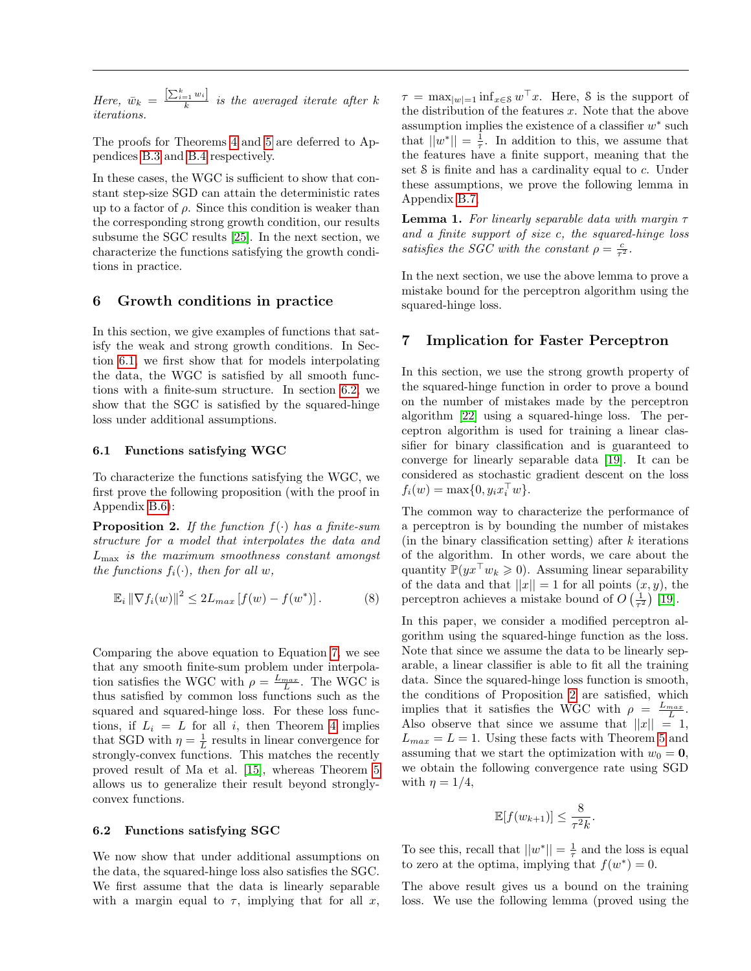Here,  $\bar{w}_k = \frac{\left[\sum_{i=1}^k w_i\right]}{k}$  is the averaged iterate after k iterations.

The proofs for Theorems [4](#page-3-2) and [5](#page-3-3) are deferred to Appendices [B.3](#page-16-0) and [B.4](#page-16-1) respectively.

In these cases, the WGC is sufficient to show that constant step-size SGD can attain the deterministic rates up to a factor of  $\rho$ . Since this condition is weaker than the corresponding strong growth condition, our results subsume the SGC results [\[25\]](#page-8-11). In the next section, we characterize the functions satisfying the growth conditions in practice.

### <span id="page-4-2"></span>6 Growth conditions in practice

In this section, we give examples of functions that satisfy the weak and strong growth conditions. In Section [6.1,](#page-4-0) we first show that for models interpolating the data, the WGC is satisfied by all smooth functions with a finite-sum structure. In section [6.2,](#page-4-3) we show that the SGC is satisfied by the squared-hinge loss under additional assumptions.

#### <span id="page-4-0"></span>6.1 Functions satisfying WGC

To characterize the functions satisfying the WGC, we first prove the following proposition (with the proof in Appendix [B.6\)](#page-19-0):

**Proposition 2.** If the function  $f(\cdot)$  has a finite-sum structure for a model that interpolates the data and  $L_{\text{max}}$  is the maximum smoothness constant amongst the functions  $f_i(\cdot)$ , then for all w,

$$
\mathbb{E}_{i} \left\| \nabla f_{i}(w) \right\|^{2} \leq 2L_{max} \left[ f(w) - f(w^{*}) \right]. \tag{8}
$$

Comparing the above equation to Equation [7,](#page-3-4) we see that any smooth finite-sum problem under interpolation satisfies the WGC with  $\rho = \frac{L_{max}}{L}$ . The WGC is thus satisfied by common loss functions such as the squared and squared-hinge loss. For these loss functions, if  $L_i = L$  for all i, then Theorem [4](#page-3-2) implies that SGD with  $\eta = \frac{1}{L}$  results in linear convergence for strongly-convex functions. This matches the recently proved result of Ma et al. [\[15\]](#page-8-7), whereas Theorem [5](#page-3-3) allows us to generalize their result beyond stronglyconvex functions.

#### <span id="page-4-3"></span>6.2 Functions satisfying SGC

We now show that under additional assumptions on the data, the squared-hinge loss also satisfies the SGC. We first assume that the data is linearly separable with a margin equal to  $\tau$ , implying that for all x,

 $\tau = \max_{|w|=1} \inf_{x \in \mathcal{S}} w^{\top}x$ . Here, *S* is the support of the distribution of the features  $x$ . Note that the above assumption implies the existence of a classifier  $w^*$  such that  $||w^*|| = \frac{1}{\tau}$ . In addition to this, we assume that the features have a finite support, meaning that the set S is finite and has a cardinality equal to c. Under these assumptions, we prove the following lemma in Appendix [B.7,](#page-19-1)

<span id="page-4-5"></span>**Lemma 1.** For linearly separable data with margin  $\tau$ and a finite support of size c, the squared-hinge loss satisfies the SGC with the constant  $\rho = \frac{c}{\tau^2}$ .

In the next section, we use the above lemma to prove a mistake bound for the perceptron algorithm using the squared-hinge loss.

### <span id="page-4-1"></span>7 Implication for Faster Perceptron

In this section, we use the strong growth property of the squared-hinge function in order to prove a bound on the number of mistakes made by the perceptron algorithm [\[22\]](#page-8-9) using a squared-hinge loss. The perceptron algorithm is used for training a linear classifier for binary classification and is guaranteed to converge for linearly separable data [\[19\]](#page-8-10). It can be considered as stochastic gradient descent on the loss  $f_i(w) = \max\{0, y_i x_i^{\top} w\}.$ 

The common way to characterize the performance of a perceptron is by bounding the number of mistakes (in the binary classification setting) after  $k$  iterations of the algorithm. In other words, we care about the quantity  $\mathbb{P}(yx^\top w_k \geq 0)$ . Assuming linear separability of the data and that  $||x|| = 1$  for all points  $(x, y)$ , the perceptron achieves a mistake bound of  $O\left(\frac{1}{\tau^2}\right)$  [\[19\]](#page-8-10).

<span id="page-4-4"></span>In this paper, we consider a modified perceptron algorithm using the squared-hinge function as the loss. Note that since we assume the data to be linearly separable, a linear classifier is able to fit all the training data. Since the squared-hinge loss function is smooth, the conditions of Proposition [2](#page-4-4) are satisfied, which implies that it satisfies the WGC with  $\rho = \frac{L_{max}}{L}$ . Also observe that since we assume that  $||x|| = 1$ ,  $L_{max} = L = 1$ . Using these facts with Theorem [5](#page-3-3) and assuming that we start the optimization with  $w_0 = 0$ , we obtain the following convergence rate using SGD with  $\eta = 1/4$ ,

$$
\mathbb{E}[f(w_{k+1})] \leq \frac{8}{\tau^2 k}.
$$

To see this, recall that  $||w^*|| = \frac{1}{\tau}$  and the loss is equal to zero at the optima, implying that  $f(w^*) = 0$ .

The above result gives us a bound on the training loss. We use the following lemma (proved using the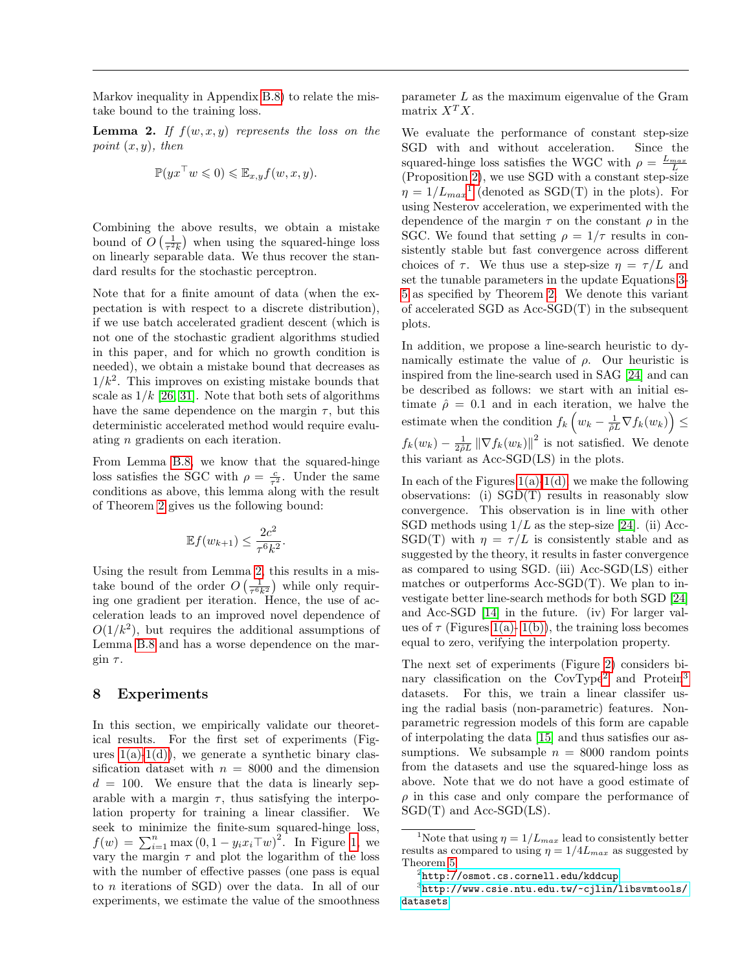Markov inequality in Appendix [B.8\)](#page-19-2) to relate the mistake bound to the training loss.

<span id="page-5-1"></span>**Lemma 2.** If  $f(w, x, y)$  represents the loss on the point  $(x, y)$ , then

$$
\mathbb{P}(yx^{\top}w \leq 0) \leq \mathbb{E}_{x,y}f(w,x,y).
$$

Combining the above results, we obtain a mistake bound of  $O\left(\frac{1}{\tau^2 k}\right)$  when using the squared-hinge loss on linearly separable data. We thus recover the standard results for the stochastic perceptron.

Note that for a finite amount of data (when the expectation is with respect to a discrete distribution), if we use batch accelerated gradient descent (which is not one of the stochastic gradient algorithms studied in this paper, and for which no growth condition is needed), we obtain a mistake bound that decreases as  $1/k<sup>2</sup>$ . This improves on existing mistake bounds that scale as  $1/k$  [\[26,](#page-8-17) [31\]](#page-8-18). Note that both sets of algorithms have the same dependence on the margin  $\tau$ , but this deterministic accelerated method would require evaluating n gradients on each iteration.

From Lemma [B.8,](#page-19-2) we know that the squared-hinge loss satisfies the SGC with  $\rho = \frac{c}{\tau^2}$ . Under the same conditions as above, this lemma along with the result of Theorem [2](#page-2-1) gives us the following bound:

$$
\mathbb{E}f(w_{k+1}) \le \frac{2c^2}{\tau^6 k^2}.
$$

Using the result from Lemma [2,](#page-5-1) this results in a mistake bound of the order  $O\left(\frac{1}{\tau^6 k^2}\right)$  while only requiring one gradient per iteration. Hence, the use of acceleration leads to an improved novel dependence of  $O(1/k^2)$ , but requires the additional assumptions of Lemma [B.8](#page-19-2) and has a worse dependence on the margin  $\tau$ .

## <span id="page-5-0"></span>8 Experiments

In this section, we empirically validate our theoretical results. For the first set of experiments (Figures  $1(a)-1(d)$ , we generate a synthetic binary classification dataset with  $n = 8000$  and the dimension  $d = 100$ . We ensure that the data is linearly separable with a margin  $\tau$ , thus satisfying the interpolation property for training a linear classifier. We seek to minimize the finite-sum squared-hinge loss,  $f(w) = \sum_{i=1}^{n} \max(0, 1 - y_i x_i \top w)^2$ . In Figure [1,](#page-6-2) we vary the margin  $\tau$  and plot the logarithm of the loss with the number of effective passes (one pass is equal to n iterations of SGD) over the data. In all of our experiments, we estimate the value of the smoothness

parameter L as the maximum eigenvalue of the Gram matrix  $X^T X$ .

We evaluate the performance of constant step-size SGD with and without acceleration. Since the squared-hinge loss satisfies the WGC with  $\rho = \frac{L_{max}}{L}$ (Proposition [2\)](#page-4-4), we use SGD with a constant step-size  $\eta = 1/L_{max}^{-1}$  $\eta = 1/L_{max}^{-1}$  $\eta = 1/L_{max}^{-1}$  (denoted as SGD(T) in the plots). For using Nesterov acceleration, we experimented with the dependence of the margin  $\tau$  on the constant  $\rho$  in the SGC. We found that setting  $\rho = 1/\tau$  results in consistently stable but fast convergence across different choices of  $\tau$ . We thus use a step-size  $\eta = \tau/L$  and set the tunable parameters in the update Equations [3-](#page-2-2) [5](#page-2-3) as specified by Theorem [2.](#page-2-1) We denote this variant of accelerated SGD as Acc-SGD(T) in the subsequent plots.

In addition, we propose a line-search heuristic to dynamically estimate the value of  $\rho$ . Our heuristic is inspired from the line-search used in SAG [\[24\]](#page-8-1) and can be described as follows: we start with an initial estimate  $\hat{\rho} = 0.1$  and in each iteration, we halve the estimate when the condition  $f_k\left(w_k - \frac{1}{\hat{\rho}L}\nabla f_k(w_k)\right) \leq$  $f_k(w_k) - \frac{1}{2\hat{\rho}L} \left\|\nabla f_k(w_k)\right\|^2$  is not satisfied. We denote this variant as Acc-SGD(LS) in the plots.

In each of the Figures  $1(a)-1(d)$ , we make the following observations: (i) SGD(T) results in reasonably slow convergence. This observation is in line with other SGD methods using  $1/L$  as the step-size [\[24\]](#page-8-1). (ii) Acc-SGD(T) with  $\eta = \tau/L$  is consistently stable and as suggested by the theory, it results in faster convergence as compared to using SGD. (iii) Acc-SGD(LS) either matches or outperforms Acc-SGD(T). We plan to investigate better line-search methods for both SGD [\[24\]](#page-8-1) and Acc-SGD [\[14\]](#page-8-19) in the future. (iv) For larger values of  $\tau$  (Figures [1\(a\)-](#page-6-0)1(b)), the training loss becomes equal to zero, verifying the interpolation property.

The next set of experiments (Figure [2\)](#page-6-4) considers bi-nary classification on the CovType<sup>[2](#page-5-3)</sup> and Protein<sup>[3](#page-5-4)</sup> datasets. For this, we train a linear classifer using the radial basis (non-parametric) features. Nonparametric regression models of this form are capable of interpolating the data [\[15\]](#page-8-7) and thus satisfies our assumptions. We subsample  $n = 8000$  random points from the datasets and use the squared-hinge loss as above. Note that we do not have a good estimate of  $\rho$  in this case and only compare the performance of SGD(T) and Acc-SGD(LS).

<span id="page-5-2"></span><sup>&</sup>lt;sup>1</sup>Note that using  $\eta = 1/L_{max}$  lead to consistently better results as compared to using  $\eta = 1/4L_{max}$  as suggested by Theorem [5.](#page-3-3)

<span id="page-5-4"></span><span id="page-5-3"></span> $^{2}$ <http://osmot.cs.cornell.edu/kddcup>

<sup>3</sup> [http://www.csie.ntu.edu.tw/~cjlin/libsvmtools/](http://www.csie.ntu.edu.tw/~cjlin/libsvmtools/datasets) [datasets](http://www.csie.ntu.edu.tw/~cjlin/libsvmtools/datasets)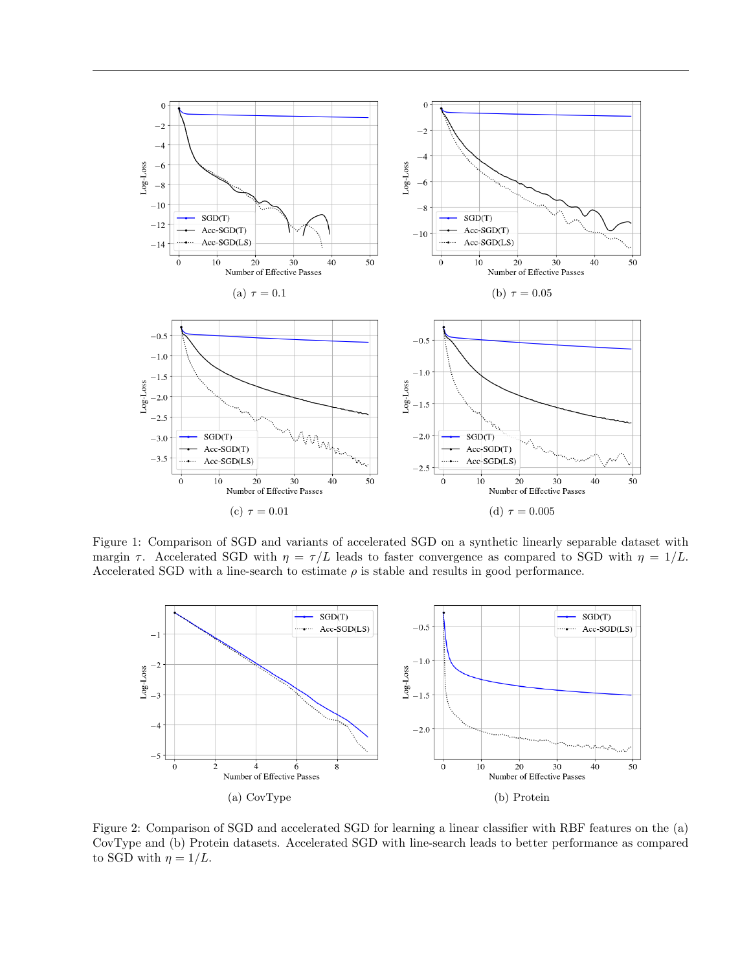<span id="page-6-3"></span><span id="page-6-0"></span>

<span id="page-6-2"></span>Figure 1: Comparison of SGD and variants of accelerated SGD on a synthetic linearly separable dataset with margin  $\tau$ . Accelerated SGD with  $\eta = \tau/L$  leads to faster convergence as compared to SGD with  $\eta = 1/L$ . Accelerated SGD with a line-search to estimate  $\rho$  is stable and results in good performance.

<span id="page-6-5"></span><span id="page-6-1"></span>

<span id="page-6-6"></span><span id="page-6-4"></span>Figure 2: Comparison of SGD and accelerated SGD for learning a linear classifier with RBF features on the (a) CovType and (b) Protein datasets. Accelerated SGD with line-search leads to better performance as compared to SGD with  $\eta = 1/L$ .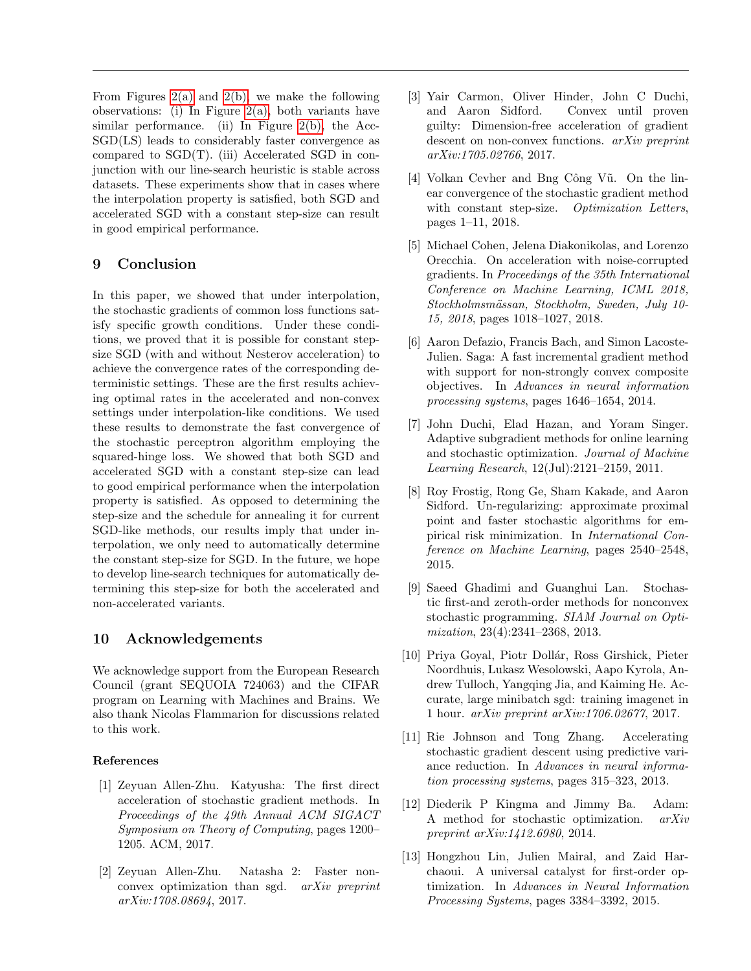From Figures [2\(a\)](#page-6-5) and [2\(b\),](#page-6-6) we make the following observations: (i) In Figure [2\(a\),](#page-6-5) both variants have similar performance. (ii) In Figure  $2(b)$ , the Acc-SGD(LS) leads to considerably faster convergence as compared to SGD(T). (iii) Accelerated SGD in conjunction with our line-search heuristic is stable across datasets. These experiments show that in cases where the interpolation property is satisfied, both SGD and accelerated SGD with a constant step-size can result in good empirical performance.

## 9 Conclusion

In this paper, we showed that under interpolation, the stochastic gradients of common loss functions satisfy specific growth conditions. Under these conditions, we proved that it is possible for constant stepsize SGD (with and without Nesterov acceleration) to achieve the convergence rates of the corresponding deterministic settings. These are the first results achieving optimal rates in the accelerated and non-convex settings under interpolation-like conditions. We used these results to demonstrate the fast convergence of the stochastic perceptron algorithm employing the squared-hinge loss. We showed that both SGD and accelerated SGD with a constant step-size can lead to good empirical performance when the interpolation property is satisfied. As opposed to determining the step-size and the schedule for annealing it for current SGD-like methods, our results imply that under interpolation, we only need to automatically determine the constant step-size for SGD. In the future, we hope to develop line-search techniques for automatically determining this step-size for both the accelerated and non-accelerated variants.

## 10 Acknowledgements

We acknowledge support from the European Research Council (grant SEQUOIA 724063) and the CIFAR program on Learning with Machines and Brains. We also thank Nicolas Flammarion for discussions related to this work.

## References

- <span id="page-7-5"></span>[1] Zeyuan Allen-Zhu. Katyusha: The first direct acceleration of stochastic gradient methods. In Proceedings of the 49th Annual ACM SIGACT Symposium on Theory of Computing, pages 1200– 1205. ACM, 2017.
- <span id="page-7-11"></span>[2] Zeyuan Allen-Zhu. Natasha 2: Faster nonconvex optimization than sgd. arXiv preprint arXiv:1708.08694, 2017.
- <span id="page-7-12"></span>[3] Yair Carmon, Oliver Hinder, John C Duchi, and Aaron Sidford. Convex until proven guilty: Dimension-free acceleration of gradient descent on non-convex functions. arXiv preprint arXiv:1705.02766, 2017.
- <span id="page-7-8"></span>[4] Volkan Cevher and Bng Công Vũ. On the linear convergence of the stochastic gradient method with constant step-size. Optimization Letters, pages 1–11, 2018.
- <span id="page-7-4"></span>[5] Michael Cohen, Jelena Diakonikolas, and Lorenzo Orecchia. On acceleration with noise-corrupted gradients. In Proceedings of the 35th International Conference on Machine Learning, ICML 2018, Stockholmsmässan, Stockholm, Sweden, July 10-15, 2018, pages 1018–1027, 2018.
- <span id="page-7-3"></span>[6] Aaron Defazio, Francis Bach, and Simon Lacoste-Julien. Saga: A fast incremental gradient method with support for non-strongly convex composite objectives. In Advances in neural information processing systems, pages 1646–1654, 2014.
- <span id="page-7-0"></span>[7] John Duchi, Elad Hazan, and Yoram Singer. Adaptive subgradient methods for online learning and stochastic optimization. Journal of Machine Learning Research, 12(Jul):2121–2159, 2011.
- <span id="page-7-7"></span>[8] Roy Frostig, Rong Ge, Sham Kakade, and Aaron Sidford. Un-regularizing: approximate proximal point and faster stochastic algorithms for empirical risk minimization. In International Conference on Machine Learning, pages 2540–2548, 2015.
- <span id="page-7-10"></span>[9] Saeed Ghadimi and Guanghui Lan. Stochastic first-and zeroth-order methods for nonconvex stochastic programming. SIAM Journal on Optimization, 23(4):2341–2368, 2013.
- <span id="page-7-9"></span>[10] Priya Goyal, Piotr Dollár, Ross Girshick, Pieter Noordhuis, Lukasz Wesolowski, Aapo Kyrola, Andrew Tulloch, Yangqing Jia, and Kaiming He. Accurate, large minibatch sgd: training imagenet in 1 hour. arXiv preprint arXiv:1706.02677, 2017.
- <span id="page-7-2"></span>[11] Rie Johnson and Tong Zhang. Accelerating stochastic gradient descent using predictive variance reduction. In Advances in neural information processing systems, pages 315–323, 2013.
- <span id="page-7-1"></span>[12] Diederik P Kingma and Jimmy Ba. Adam: A method for stochastic optimization. arXiv preprint arXiv:1412.6980, 2014.
- <span id="page-7-6"></span>[13] Hongzhou Lin, Julien Mairal, and Zaid Harchaoui. A universal catalyst for first-order optimization. In Advances in Neural Information Processing Systems, pages 3384–3392, 2015.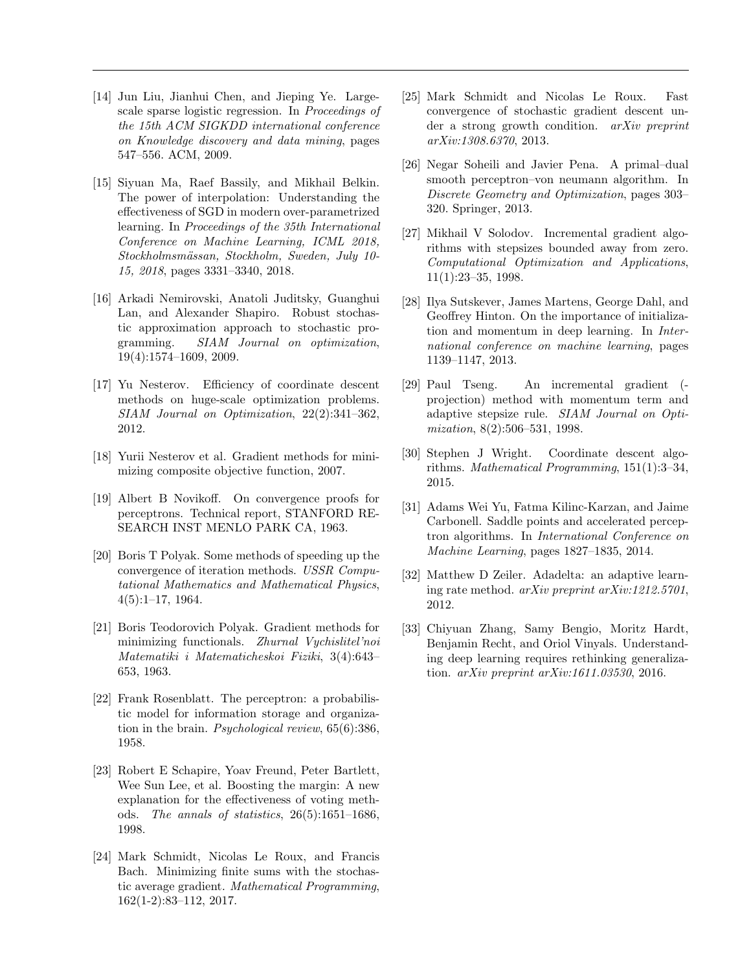- <span id="page-8-19"></span>[14] Jun Liu, Jianhui Chen, and Jieping Ye. Largescale sparse logistic regression. In Proceedings of the 15th ACM SIGKDD international conference on Knowledge discovery and data mining, pages 547–556. ACM, 2009.
- <span id="page-8-7"></span>[15] Siyuan Ma, Raef Bassily, and Mikhail Belkin. The power of interpolation: Understanding the effectiveness of SGD in modern over-parametrized learning. In Proceedings of the 35th International Conference on Machine Learning, ICML 2018, Stockholmsmässan, Stockholm, Sweden, July 10-15, 2018, pages 3331–3340, 2018.
- <span id="page-8-2"></span>[16] Arkadi Nemirovski, Anatoli Juditsky, Guanghui Lan, and Alexander Shapiro. Robust stochastic approximation approach to stochastic programming. SIAM Journal on optimization, 19(4):1574–1609, 2009.
- <span id="page-8-15"></span>[17] Yu Nesterov. Efficiency of coordinate descent methods on huge-scale optimization problems. SIAM Journal on Optimization, 22(2):341–362, 2012.
- <span id="page-8-4"></span>[18] Yurii Nesterov et al. Gradient methods for minimizing composite objective function, 2007.
- <span id="page-8-10"></span>[19] Albert B Novikoff. On convergence proofs for perceptrons. Technical report, STANFORD RE-SEARCH INST MENLO PARK CA, 1963.
- <span id="page-8-3"></span>[20] Boris T Polyak. Some methods of speeding up the convergence of iteration methods. USSR Computational Mathematics and Mathematical Physics, 4(5):1–17, 1964.
- <span id="page-8-14"></span>[21] Boris Teodorovich Polyak. Gradient methods for minimizing functionals. Zhurnal Vychislitel'noi Matematiki i Matematicheskoi Fiziki, 3(4):643– 653, 1963.
- <span id="page-8-9"></span>[22] Frank Rosenblatt. The perceptron: a probabilistic model for information storage and organization in the brain. Psychological review, 65(6):386, 1958.
- <span id="page-8-8"></span>[23] Robert E Schapire, Yoav Freund, Peter Bartlett, Wee Sun Lee, et al. Boosting the margin: A new explanation for the effectiveness of voting methods. The annals of statistics, 26(5):1651–1686, 1998.
- <span id="page-8-1"></span>[24] Mark Schmidt, Nicolas Le Roux, and Francis Bach. Minimizing finite sums with the stochastic average gradient. Mathematical Programming, 162(1-2):83–112, 2017.
- <span id="page-8-11"></span>[25] Mark Schmidt and Nicolas Le Roux. Fast convergence of stochastic gradient descent under a strong growth condition. arXiv preprint arXiv:1308.6370, 2013.
- <span id="page-8-17"></span>[26] Negar Soheili and Javier Pena. A primal–dual smooth perceptron–von neumann algorithm. In Discrete Geometry and Optimization, pages 303– 320. Springer, 2013.
- <span id="page-8-12"></span>[27] Mikhail V Solodov. Incremental gradient algorithms with stepsizes bounded away from zero. Computational Optimization and Applications, 11(1):23–35, 1998.
- <span id="page-8-5"></span>[28] Ilya Sutskever, James Martens, George Dahl, and Geoffrey Hinton. On the importance of initialization and momentum in deep learning. In International conference on machine learning, pages 1139–1147, 2013.
- <span id="page-8-13"></span>[29] Paul Tseng. An incremental gradient ( projection) method with momentum term and adaptive stepsize rule. SIAM Journal on Optimization, 8(2):506–531, 1998.
- <span id="page-8-16"></span>[30] Stephen J Wright. Coordinate descent algorithms. Mathematical Programming, 151(1):3–34, 2015.
- <span id="page-8-18"></span>[31] Adams Wei Yu, Fatma Kilinc-Karzan, and Jaime Carbonell. Saddle points and accelerated perceptron algorithms. In International Conference on Machine Learning, pages 1827–1835, 2014.
- <span id="page-8-0"></span>[32] Matthew D Zeiler. Adadelta: an adaptive learning rate method. arXiv preprint arXiv:1212.5701, 2012.
- <span id="page-8-6"></span>[33] Chiyuan Zhang, Samy Bengio, Moritz Hardt, Benjamin Recht, and Oriol Vinyals. Understanding deep learning requires rethinking generalization. arXiv preprint arXiv:1611.03530, 2016.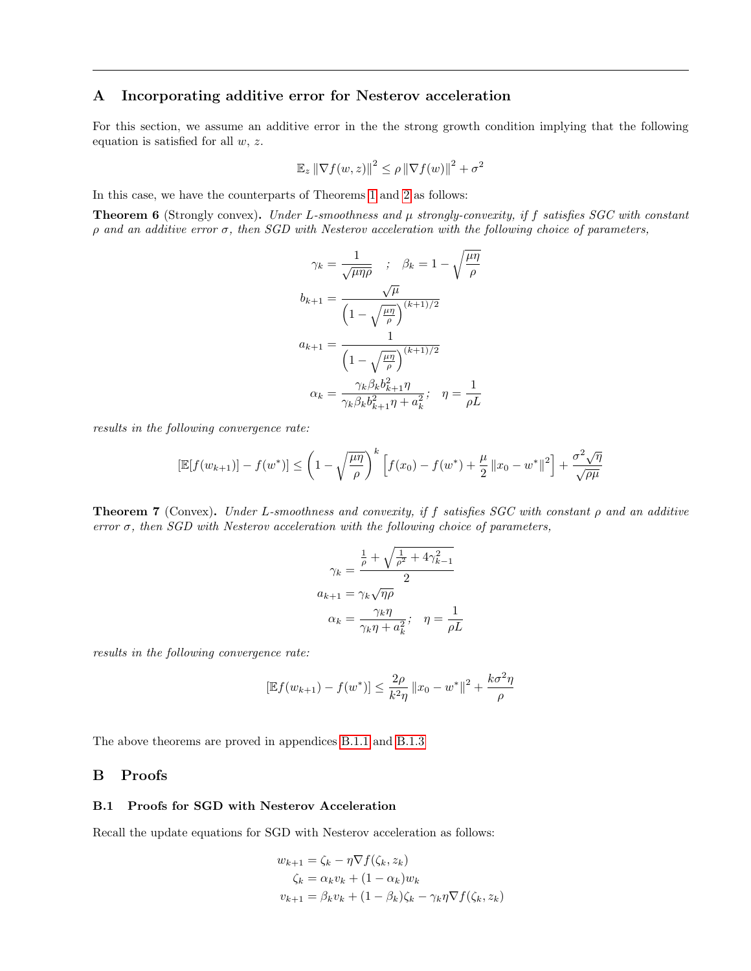## <span id="page-9-0"></span>A Incorporating additive error for Nesterov acceleration

For this section, we assume an additive error in the the strong growth condition implying that the following equation is satisfied for all  $w, z$ .

$$
\mathbb{E}_z \left\| \nabla f(w, z) \right\|^2 \le \rho \left\| \nabla f(w) \right\|^2 + \sigma^2
$$

In this case, we have the counterparts of Theorems [1](#page-2-4) and [2](#page-2-1) as follows:

**Theorem 6** (Strongly convex). Under L-smoothness and  $\mu$  strongly-convexity, if f satisfies SGC with constant ρ and an additive error σ, then SGD with Nesterov acceleration with the following choice of parameters,

$$
\gamma_k = \frac{1}{\sqrt{\mu \eta \rho}} \quad ; \quad \beta_k = 1 - \sqrt{\frac{\mu \eta}{\rho}}
$$

$$
b_{k+1} = \frac{\sqrt{\mu}}{\left(1 - \sqrt{\frac{\mu \eta}{\rho}}\right)^{(k+1)/2}}
$$

$$
a_{k+1} = \frac{1}{\left(1 - \sqrt{\frac{\mu \eta}{\rho}}\right)^{(k+1)/2}}
$$

$$
\alpha_k = \frac{\gamma_k \beta_k b_{k+1}^2 \eta}{\gamma_k \beta_k b_{k+1}^2 \eta + a_k^2}; \quad \eta = \frac{1}{\rho L}
$$

results in the following convergence rate:

$$
\left[\mathbb{E}[f(w_{k+1})] - f(w^*)\right] \le \left(1 - \sqrt{\frac{\mu\eta}{\rho}}\right)^k \left[f(x_0) - f(w^*) + \frac{\mu}{2} ||x_0 - w^*||^2\right] + \frac{\sigma^2\sqrt{\eta}}{\sqrt{\rho\mu}}
$$

**Theorem 7** (Convex). Under L-smoothness and convexity, if f satisfies SGC with constant  $\rho$  and an additive error  $\sigma$ , then SGD with Nesterov acceleration with the following choice of parameters,

$$
\gamma_k = \frac{\frac{1}{\rho} + \sqrt{\frac{1}{\rho^2} + 4\gamma_{k-1}^2}}{2}
$$

$$
a_{k+1} = \gamma_k \sqrt{\eta \rho}
$$

$$
\alpha_k = \frac{\gamma_k \eta}{\gamma_k \eta + a_k^2}; \quad \eta = \frac{1}{\rho L}
$$

results in the following convergence rate:

$$
[\mathbb{E}f(w_{k+1}) - f(w^*)] \le \frac{2\rho}{k^2\eta} ||x_0 - w^*||^2 + \frac{k\sigma^2\eta}{\rho}
$$

The above theorems are proved in appendices [B.1.1](#page-13-0) and [B.1.3](#page-14-0)

### B Proofs

#### B.1 Proofs for SGD with Nesterov Acceleration

Recall the update equations for SGD with Nesterov acceleration as follows:

$$
w_{k+1} = \zeta_k - \eta \nabla f(\zeta_k, z_k)
$$
  

$$
\zeta_k = \alpha_k v_k + (1 - \alpha_k) w_k
$$
  

$$
v_{k+1} = \beta_k v_k + (1 - \beta_k) \zeta_k - \gamma_k \eta \nabla f(\zeta_k, z_k)
$$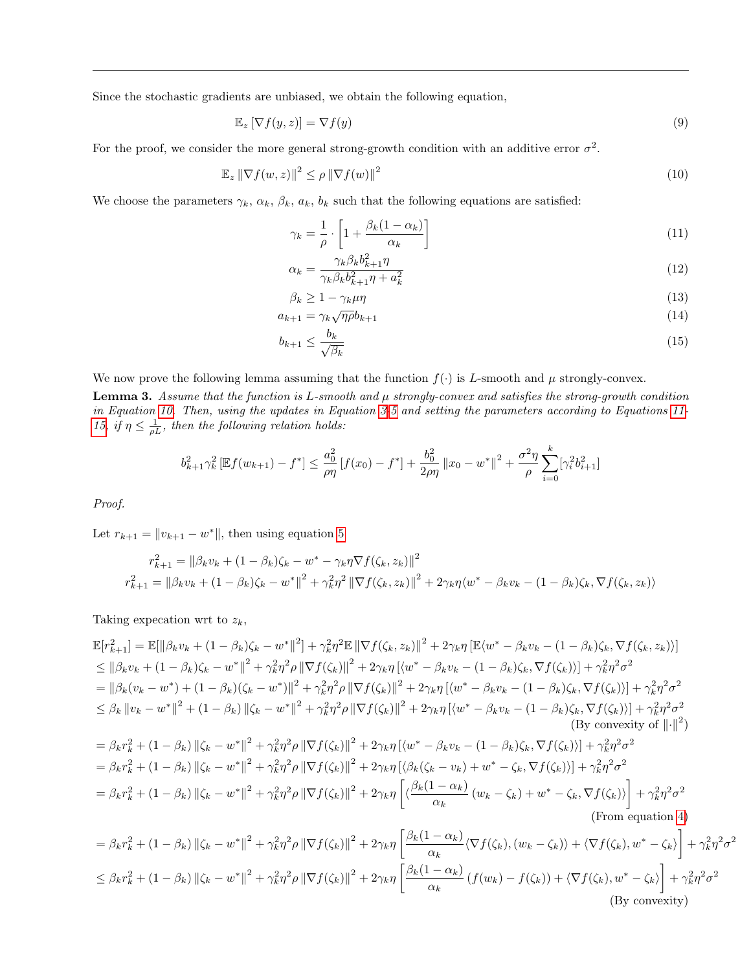Since the stochastic gradients are unbiased, we obtain the following equation,

$$
\mathbb{E}_z \left[ \nabla f(y, z) \right] = \nabla f(y) \tag{9}
$$

For the proof, we consider the more general strong-growth condition with an additive error  $\sigma^2$ .

$$
\mathbb{E}_z \left\| \nabla f(w, z) \right\|^2 \le \rho \left\| \nabla f(w) \right\|^2 \tag{10}
$$

We choose the parameters  $\gamma_k$ ,  $\alpha_k$ ,  $\beta_k$ ,  $a_k$ ,  $b_k$  such that the following equations are satisfied:

<span id="page-10-3"></span><span id="page-10-1"></span><span id="page-10-0"></span>
$$
\gamma_k = \frac{1}{\rho} \cdot \left[ 1 + \frac{\beta_k (1 - \alpha_k)}{\alpha_k} \right] \tag{11}
$$

<span id="page-10-5"></span><span id="page-10-4"></span>
$$
\alpha_k = \frac{\gamma_k \beta_k b_{k+1}^2 \eta}{\gamma_k \beta_k b_{k+1}^2 \eta + a_k^2} \tag{12}
$$

<span id="page-10-6"></span><span id="page-10-2"></span>
$$
\beta_k \ge 1 - \gamma_k \mu \eta \tag{13}
$$

$$
a_{k+1} = \gamma_k \sqrt{\eta \rho} b_{k+1} \tag{14}
$$

$$
b_{k+1} \le \frac{b_k}{\sqrt{\beta_k}}\tag{15}
$$

We now prove the following lemma assuming that the function  $f(\cdot)$  is L-smooth and  $\mu$  strongly-convex.

**Lemma 3.** Assume that the function is L-smooth and  $\mu$  strongly-convex and satisfies the strong-growth condition in Equation [10.](#page-10-0) Then, using the updates in Equation [3-](#page-2-2)[5](#page-2-3) and setting the parameters according to Equations [11-](#page-10-1) [15,](#page-10-2) if  $\eta \leq \frac{1}{\rho L}$ , then the following relation holds:

$$
b_{k+1}^{2} \gamma_{k}^{2} \left[ \mathbb{E} f(w_{k+1}) - f^{*} \right] \leq \frac{a_{0}^{2}}{\rho \eta} \left[ f(x_{0}) - f^{*} \right] + \frac{b_{0}^{2}}{2\rho \eta} \left\| x_{0} - w^{*} \right\|^{2} + \frac{\sigma^{2} \eta}{\rho} \sum_{i=0}^{k} \left[ \gamma_{i}^{2} b_{i+1}^{2} \right]
$$

Proof.

Let  $r_{k+1} = ||v_{k+1} - w^*||$ , then using equation [5](#page-2-3)

$$
r_{k+1}^2 = ||\beta_k v_k + (1 - \beta_k)\zeta_k - w^* - \gamma_k \eta \nabla f(\zeta_k, z_k)||^2
$$
  

$$
r_{k+1}^2 = ||\beta_k v_k + (1 - \beta_k)\zeta_k - w^*||^2 + \gamma_k^2 \eta^2 ||\nabla f(\zeta_k, z_k)||^2 + 2\gamma_k \eta \langle w^* - \beta_k v_k - (1 - \beta_k)\zeta_k, \nabla f(\zeta_k, z_k) \rangle
$$

Taking expectiion wrt to  $z_k$ ,

$$
\mathbb{E}[r_{k+1}^{2}] = \mathbb{E}[\|\beta_{k}v_{k} + (1-\beta_{k})\zeta_{k} - w^{*}\|^{2}] + \gamma_{k}^{2}\eta^{2}\mathbb{E}\|\nabla f(\zeta_{k}, z_{k})\|^{2} + 2\gamma_{k}\eta\left[\mathbb{E}\langle w^{*} - \beta_{k}v_{k} - (1-\beta_{k})\zeta_{k}, \nabla f(\zeta_{k}, z_{k})\right] \leq \|\beta_{k}v_{k} + (1-\beta_{k})\zeta_{k} - w^{*}\|^{2} + \gamma_{k}^{2}\eta^{2}\rho\|\nabla f(\zeta_{k})\|^{2} + 2\gamma_{k}\eta\left[\langle w^{*} - \beta_{k}v_{k} - (1-\beta_{k})\zeta_{k}, \nabla f(\zeta_{k})\right] + \gamma_{k}^{2}\eta^{2}\sigma^{2} \leq \|\beta_{k}(v_{k} - w^{*}) + (1-\beta_{k})(\zeta_{k} - w^{*})\|^{2} + \gamma_{k}^{2}\eta^{2}\rho\|\nabla f(\zeta_{k})\|^{2} + 2\gamma_{k}\eta\left[\langle w^{*} - \beta_{k}v_{k} - (1-\beta_{k})\zeta_{k}, \nabla f(\zeta_{k})\right]\right] + \gamma_{k}^{2}\eta^{2}\sigma^{2} \leq \beta_{k}\|v_{k} - w^{*}\|^{2} + (1-\beta_{k})\||\zeta_{k} - w^{*}\|^{2} + \gamma_{k}^{2}\eta^{2}\rho\|\nabla f(\zeta_{k})\|^{2} + 2\gamma_{k}\eta\left[\langle w^{*} - \beta_{k}v_{k} - (1-\beta_{k})\zeta_{k}, \nabla f(\zeta_{k})\right]\right] + \gamma_{k}^{2}\eta^{2}\sigma^{2} \leq \beta_{k}\|v_{k} - w^{*}\|^{2} + (1-\beta_{k})\||\zeta_{k} - w^{*}\|^{2} + \gamma_{k}^{2}\eta^{2}\rho\|\nabla f(\zeta_{k})\|^{2} + 2\gamma_{k}\eta\left[\langle w^{*} - \beta_{k}v_{k} - (1-\beta_{k})\zeta_{k}, \nabla f(\zeta_{k})\right]\right] + \gamma_{k}^{2}\eta^{2}\sigma^{2} \leq \beta_{k}r_{k}^{
$$

 $\mathbf{I}$ 

(By convexity)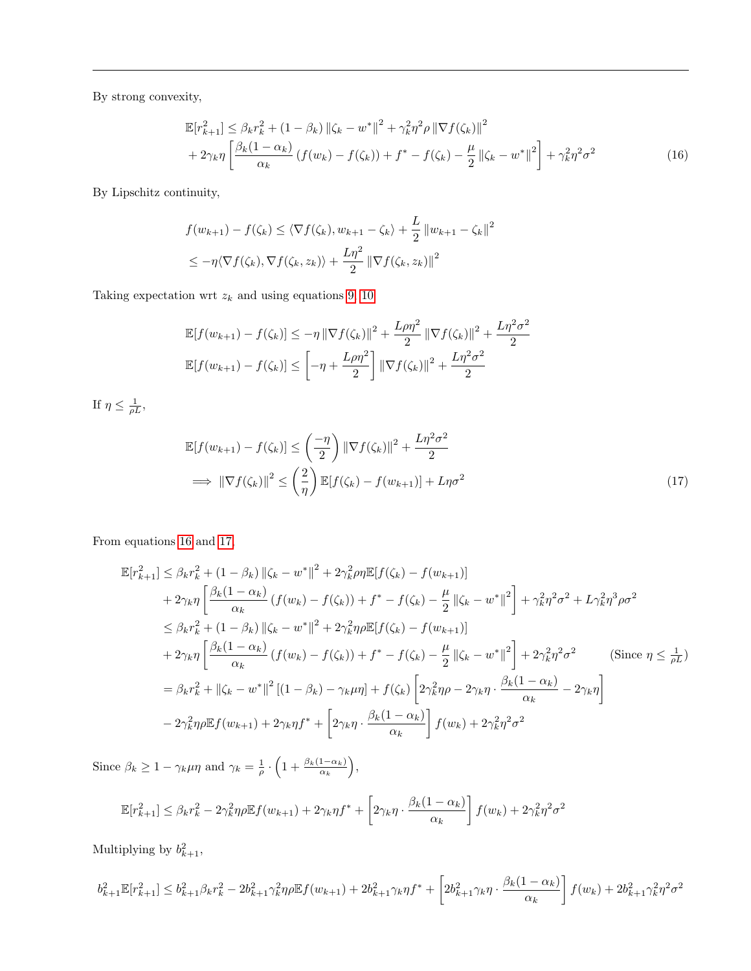By strong convexity,

<span id="page-11-0"></span>
$$
\mathbb{E}[r_{k+1}^2] \leq \beta_k r_k^2 + (1 - \beta_k) \left\| \zeta_k - w^* \right\|^2 + \gamma_k^2 \eta^2 \rho \left\| \nabla f(\zeta_k) \right\|^2 + 2\gamma_k \eta \left[ \frac{\beta_k (1 - \alpha_k)}{\alpha_k} \left( f(w_k) - f(\zeta_k) \right) + f^* - f(\zeta_k) - \frac{\mu}{2} \left\| \zeta_k - w^* \right\|^2 \right] + \gamma_k^2 \eta^2 \sigma^2
$$
(16)

By Lipschitz continuity,

$$
f(w_{k+1}) - f(\zeta_k) \le \langle \nabla f(\zeta_k), w_{k+1} - \zeta_k \rangle + \frac{L}{2} ||w_{k+1} - \zeta_k||^2
$$
  

$$
\le -\eta \langle \nabla f(\zeta_k), \nabla f(\zeta_k, z_k) \rangle + \frac{L\eta^2}{2} ||\nabla f(\zeta_k, z_k)||^2
$$

Taking expectation wrt  $z_k$  and using equations [9,](#page-10-3) [10](#page-10-0)

$$
\mathbb{E}[f(w_{k+1}) - f(\zeta_k)] \le -\eta \|\nabla f(\zeta_k)\|^2 + \frac{L\rho\eta^2}{2} \|\nabla f(\zeta_k)\|^2 + \frac{L\eta^2\sigma^2}{2} \n\mathbb{E}[f(w_{k+1}) - f(\zeta_k)] \le \left[ -\eta + \frac{L\rho\eta^2}{2} \right] \|\nabla f(\zeta_k)\|^2 + \frac{L\eta^2\sigma^2}{2}
$$

If  $\eta \leq \frac{1}{\rho L}$ ,

<span id="page-11-1"></span>
$$
\mathbb{E}[f(w_{k+1}) - f(\zeta_k)] \le \left(\frac{-\eta}{2}\right) \|\nabla f(\zeta_k)\|^2 + \frac{L\eta^2 \sigma^2}{2}
$$
\n
$$
\implies \|\nabla f(\zeta_k)\|^2 \le \left(\frac{2}{\eta}\right) \mathbb{E}[f(\zeta_k) - f(w_{k+1})] + L\eta \sigma^2 \tag{17}
$$

From equations [16](#page-11-0) and [17,](#page-11-1)

$$
\mathbb{E}[r_{k+1}^2] \leq \beta_k r_k^2 + (1 - \beta_k) \|\zeta_k - w^*\|^2 + 2\gamma_k^2 \rho \eta \mathbb{E}[f(\zeta_k) - f(w_{k+1})]
$$
  
+  $2\gamma_k \eta \left[ \frac{\beta_k (1 - \alpha_k)}{\alpha_k} (f(w_k) - f(\zeta_k)) + f^* - f(\zeta_k) - \frac{\mu}{2} ||\zeta_k - w^*||^2 \right] + \gamma_k^2 \eta^2 \sigma^2 + L\gamma_k^2 \eta^3 \rho \sigma^2$   
 $\leq \beta_k r_k^2 + (1 - \beta_k) ||\zeta_k - w^*||^2 + 2\gamma_k^2 \eta \rho \mathbb{E}[f(\zeta_k) - f(w_{k+1})]$   
+  $2\gamma_k \eta \left[ \frac{\beta_k (1 - \alpha_k)}{\alpha_k} (f(w_k) - f(\zeta_k)) + f^* - f(\zeta_k) - \frac{\mu}{2} ||\zeta_k - w^*||^2 \right] + 2\gamma_k^2 \eta^2 \sigma^2$  (Since  $\eta \leq \frac{1}{\rho L}$ )  
 $= \beta_k r_k^2 + ||\zeta_k - w^*||^2 [(1 - \beta_k) - \gamma_k \mu \eta] + f(\zeta_k) \left[ 2\gamma_k^2 \eta \rho - 2\gamma_k \eta \cdot \frac{\beta_k (1 - \alpha_k)}{\alpha_k} - 2\gamma_k \eta \right]$   
 $- 2\gamma_k^2 \eta \rho \mathbb{E} f(w_{k+1}) + 2\gamma_k \eta f^* + \left[ 2\gamma_k \eta \cdot \frac{\beta_k (1 - \alpha_k)}{\alpha_k} \right] f(w_k) + 2\gamma_k^2 \eta^2 \sigma^2$ 

Since  $\beta_k \geq 1 - \gamma_k \mu \eta$  and  $\gamma_k = \frac{1}{\rho} \cdot \left(1 + \frac{\beta_k(1-\alpha_k)}{\alpha_k}\right),$ 

$$
\mathbb{E}[r_{k+1}^2] \leq \beta_k r_k^2 - 2\gamma_k^2 \eta \rho \mathbb{E}f(w_{k+1}) + 2\gamma_k \eta f^* + \left[2\gamma_k \eta \cdot \frac{\beta_k (1 - \alpha_k)}{\alpha_k}\right] f(w_k) + 2\gamma_k^2 \eta^2 \sigma^2
$$

Multiplying by  $b_{k+1}^2$ ,

$$
b_{k+1}^{2} \mathbb{E}[r_{k+1}^{2}] \leq b_{k+1}^{2} \beta_{k} r_{k}^{2} - 2b_{k+1}^{2} \gamma_{k}^{2} \eta \rho \mathbb{E}f(w_{k+1}) + 2b_{k+1}^{2} \gamma_{k} \eta f^{*} + \left[2b_{k+1}^{2} \gamma_{k} \eta \cdot \frac{\beta_{k}(1-\alpha_{k})}{\alpha_{k}}\right] f(w_{k}) + 2b_{k+1}^{2} \gamma_{k}^{2} \eta^{2} \sigma^{2}
$$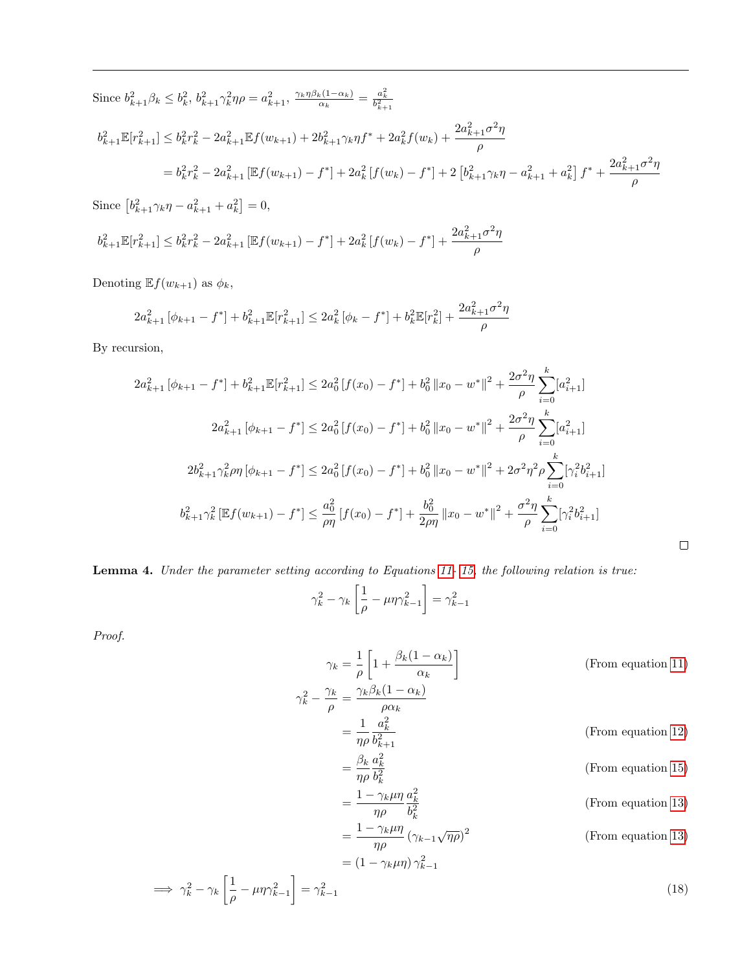Since  $b_{k+1}^2 \beta_k \leq b_k^2$ ,  $b_{k+1}^2 \gamma_k^2 \eta \rho = a_{k+1}^2$ ,  $\frac{\gamma_k \eta \beta_k (1 - \alpha_k)}{\alpha_k}$  $\frac{a_k(1-\alpha_k)}{\alpha_k} = \frac{a_k^2}{b_{k+1}^2}$  $b_{k+1}^2 \mathbb{E}[r_{k+1}^2] \leq b_k^2 r_k^2 - 2a_{k+1}^2 \mathbb{E}f(w_{k+1}) + 2b_{k+1}^2 \gamma_k \eta f^* + 2a_k^2 f(w_k) + \frac{2a_{k+1}^2 \sigma^2 \eta_k^2}{2\sigma^2}$ ρ  $\mathcal{L} = b_k^2 r_k^2 - 2a_{k+1}^2 \left[ \mathbb{E} f(w_{k+1}) - f^* \right] + 2a_k^2 \left[ f(w_k) - f^* \right] + 2 \left[ b_{k+1}^2 \gamma_k \eta - a_{k+1}^2 + a_k^2 \right] f^* + \frac{2a_{k+1}^2 \sigma^2 \eta_k^2}{2\sigma^2}$ ρ

Since  $[b_{k+1}^2 \gamma_k \eta - a_{k+1}^2 + a_k^2] = 0$ ,

$$
b_{k+1}^{2} \mathbb{E}[r_{k+1}^{2}] \leq b_{k}^{2} r_{k}^{2} - 2a_{k+1}^{2} \left[ \mathbb{E}f(w_{k+1}) - f^{*} \right] + 2a_{k}^{2} \left[ f(w_{k}) - f^{*} \right] + \frac{2a_{k+1}^{2} \sigma^{2} \eta}{\rho}
$$

Denoting  $\mathbb{E} f(w_{k+1})$  as  $\phi_k$ ,

$$
2a_{k+1}^{2} \left[ \phi_{k+1} - f^{*} \right] + b_{k+1}^{2} \mathbb{E}[r_{k+1}^{2}] \leq 2a_{k}^{2} \left[ \phi_{k} - f^{*} \right] + b_{k}^{2} \mathbb{E}[r_{k}^{2}] + \frac{2a_{k+1}^{2} \sigma^{2} \eta}{\rho}
$$

By recursion,

$$
2a_{k+1}^{2} [\phi_{k+1} - f^{*}] + b_{k+1}^{2} \mathbb{E}[r_{k+1}^{2}] \le 2a_{0}^{2} [f(x_{0}) - f^{*}] + b_{0}^{2} ||x_{0} - w^{*}||^{2} + \frac{2\sigma^{2}\eta}{\rho} \sum_{i=0}^{k} [a_{i+1}^{2}]
$$
  

$$
2a_{k+1}^{2} [\phi_{k+1} - f^{*}] \le 2a_{0}^{2} [f(x_{0}) - f^{*}] + b_{0}^{2} ||x_{0} - w^{*}||^{2} + \frac{2\sigma^{2}\eta}{\rho} \sum_{i=0}^{k} [a_{i+1}^{2}]
$$
  

$$
2b_{k+1}^{2} \gamma_{k}^{2} \rho \eta [\phi_{k+1} - f^{*}] \le 2a_{0}^{2} [f(x_{0}) - f^{*}] + b_{0}^{2} ||x_{0} - w^{*}||^{2} + 2\sigma^{2}\eta^{2}\rho \sum_{i=0}^{k} [\gamma_{i}^{2} b_{i+1}^{2}]
$$
  

$$
b_{k+1}^{2} \gamma_{k}^{2} [\mathbb{E}f(w_{k+1}) - f^{*}] \le \frac{a_{0}^{2}}{\rho \eta} [f(x_{0}) - f^{*}] + \frac{b_{0}^{2}}{2\rho\eta} ||x_{0} - w^{*}||^{2} + \frac{\sigma^{2}\eta}{\rho} \sum_{i=0}^{k} [\gamma_{i}^{2} b_{i+1}^{2}]
$$

Lemma 4. Under the parameter setting according to Equations [11-](#page-10-1) [15,](#page-10-2) the following relation is true:

$$
\gamma_k^2 - \gamma_k \left[ \frac{1}{\rho} - \mu \eta \gamma_{k-1}^2 \right] = \gamma_{k-1}^2
$$

Proof.

$$
\gamma_k = \frac{1}{\rho} \left[ 1 + \frac{\beta_k (1 - \alpha_k)}{\alpha_k} \right]
$$
 (From equation 11)  
\n
$$
\gamma_k^2 - \frac{\gamma_k}{\rho} = \frac{\gamma_k \beta_k (1 - \alpha_k)}{\rho \alpha_k}
$$
  
\n
$$
= \frac{1}{\eta \rho} \frac{a_k^2}{b_{k+1}^2}
$$
 (From equation 12)  
\n
$$
= \frac{\beta_k}{\eta \rho} \frac{a_k^2}{b_k^2}
$$
 (From equation 15)  
\n
$$
= \frac{1 - \gamma_k \mu \eta}{\eta \rho} \frac{a_k^2}{b_k^2}
$$
 (From equation 13)  
\n
$$
= \frac{1 - \gamma_k \mu \eta}{\eta \rho} (\gamma_{k-1} \sqrt{\eta \rho})^2
$$
 (From equation 13)  
\n
$$
= (1 - \gamma_k \mu \eta) \gamma_{k-1}^2
$$

<span id="page-12-0"></span> $\hfill \square$ 

$$
\implies \gamma_k^2 - \gamma_k \left[ \frac{1}{\rho} - \mu \eta \gamma_{k-1}^2 \right] = \gamma_{k-1}^2 \tag{18}
$$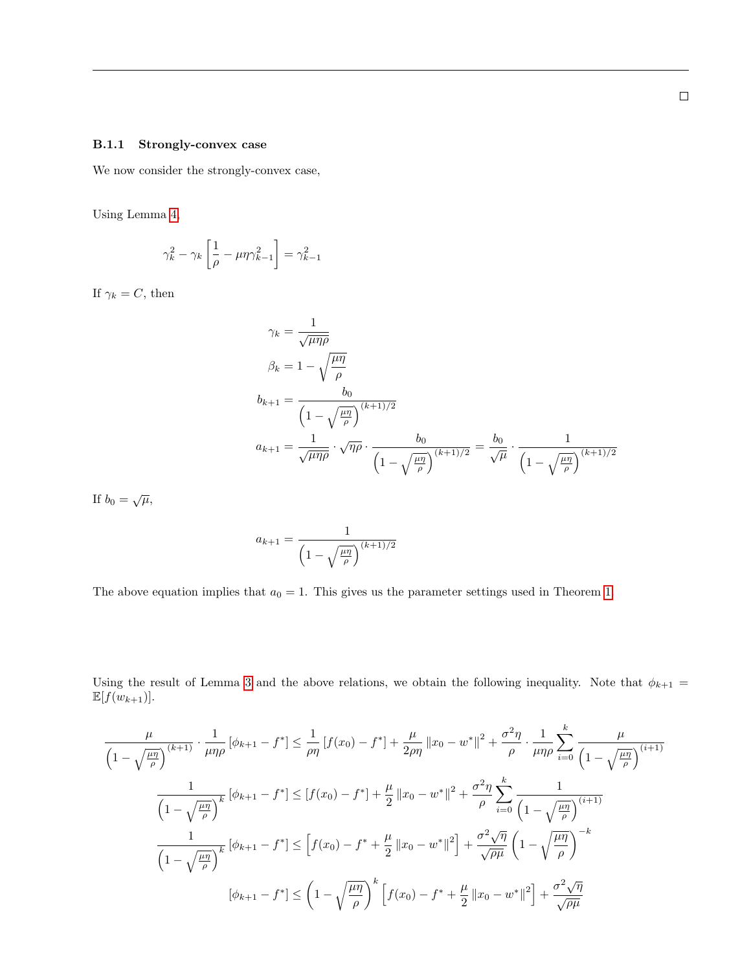#### <span id="page-13-0"></span>B.1.1 Strongly-convex case

We now consider the strongly-convex case,

Using Lemma [4,](#page-12-0)

$$
\gamma_k^2 - \gamma_k \left[ \frac{1}{\rho} - \mu \eta \gamma_{k-1}^2 \right] = \gamma_{k-1}^2
$$

If  $\gamma_k = C$ , then

$$
\gamma_k = \frac{1}{\sqrt{\mu \eta \rho}}
$$
  
\n
$$
\beta_k = 1 - \sqrt{\frac{\mu \eta}{\rho}}
$$
  
\n
$$
b_{k+1} = \frac{b_0}{\left(1 - \sqrt{\frac{\mu \eta}{\rho}}\right)^{(k+1)/2}}
$$
  
\n
$$
a_{k+1} = \frac{1}{\sqrt{\mu \eta \rho}} \cdot \sqrt{\eta \rho} \cdot \frac{b_0}{\left(1 - \sqrt{\frac{\mu \eta}{\rho}}\right)^{(k+1)/2}} = \frac{b_0}{\sqrt{\mu}} \cdot \frac{1}{\left(1 - \sqrt{\frac{\mu \eta}{\rho}}\right)^{(k+1)/2}}
$$

If  $b_0 = \sqrt{\mu}$ ,

$$
a_{k+1} = \frac{1}{\left(1 - \sqrt{\frac{\mu \eta}{\rho}}\right)^{(k+1)/2}}
$$

The above equation implies that  $a_0 = 1$ . This gives us the parameter settings used in Theorem [1.](#page-2-4)

Using the result of Lemma [3](#page-11-1) and the above relations, we obtain the following inequality. Note that  $\phi_{k+1} =$  $\mathbb{E}[f(w_{k+1})].$ 

$$
\frac{\mu}{\left(1-\sqrt{\frac{\mu\eta}{\rho}}\right)^{(k+1)}} \cdot \frac{1}{\mu\eta\rho} \left[\phi_{k+1}-f^*\right] \le \frac{1}{\rho\eta} \left[f(x_0)-f^*\right] + \frac{\mu}{2\rho\eta} \left\|x_0 - w^*\right\|^2 + \frac{\sigma^2\eta}{\rho} \cdot \frac{1}{\mu\eta\rho} \sum_{i=0}^k \frac{\mu}{\left(1-\sqrt{\frac{\mu\eta}{\rho}}\right)^{(i+1)}}
$$
\n
$$
\frac{1}{\left(1-\sqrt{\frac{\mu\eta}{\rho}}\right)^k} \left[\phi_{k+1}-f^*\right] \le \left[f(x_0)-f^*\right] + \frac{\mu}{2} \left\|x_0 - w^*\right\|^2 + \frac{\sigma^2\eta}{\rho} \sum_{i=0}^k \frac{1}{\left(1-\sqrt{\frac{\mu\eta}{\rho}}\right)^{(i+1)}}
$$
\n
$$
\frac{1}{\left(1-\sqrt{\frac{\mu\eta}{\rho}}\right)^k} \left[\phi_{k+1}-f^*\right] \le \left[f(x_0)-f^* + \frac{\mu}{2} \left\|x_0 - w^*\right\|^2\right] + \frac{\sigma^2\sqrt{\eta}}{\sqrt{\rho\mu}} \left(1-\sqrt{\frac{\mu\eta}{\rho}}\right)^{-k}
$$
\n
$$
[\phi_{k+1}-f^*] \le \left(1-\sqrt{\frac{\mu\eta}{\rho}}\right)^k \left[f(x_0)-f^* + \frac{\mu}{2} \left\|x_0 - w^*\right\|^2\right] + \frac{\sigma^2\sqrt{\eta}}{\sqrt{\rho\mu}}
$$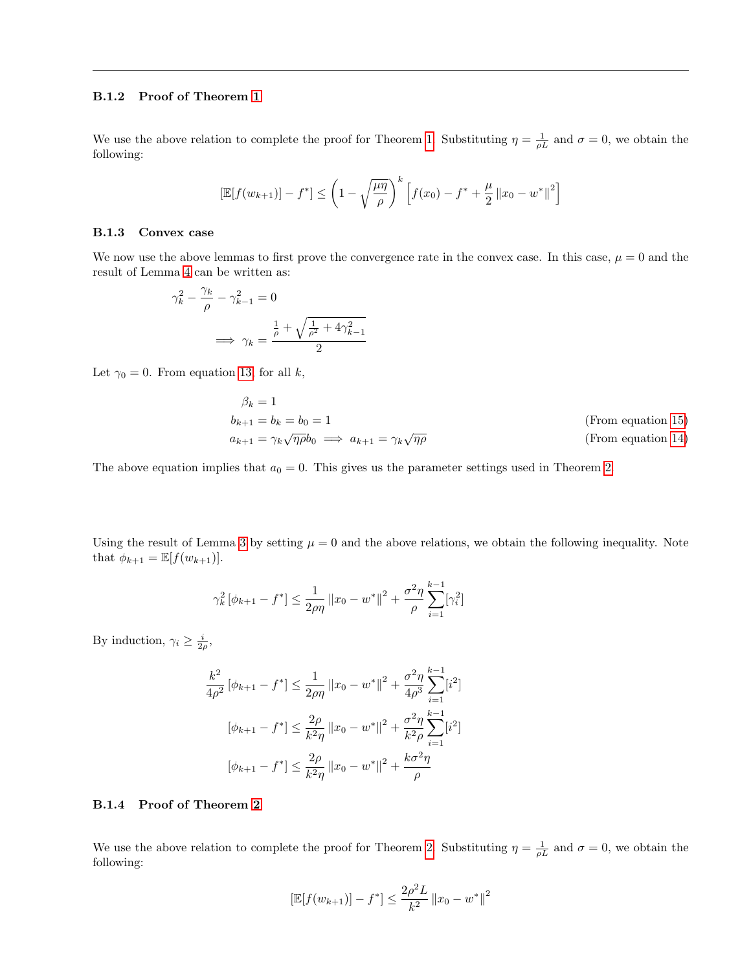### B.1.2 Proof of Theorem [1](#page-2-4)

We use the above relation to complete the proof for Theorem [1.](#page-2-4) Substituting  $\eta = \frac{1}{\rho L}$  and  $\sigma = 0$ , we obtain the following:

$$
\left[\mathbb{E}[f(w_{k+1})] - f^*\right] \le \left(1 - \sqrt{\frac{\mu\eta}{\rho}}\right)^k \left[f(x_0) - f^* + \frac{\mu}{2} ||x_0 - w^*||^2\right]
$$

#### <span id="page-14-0"></span>B.1.3 Convex case

We now use the above lemmas to first prove the convergence rate in the convex case. In this case,  $\mu = 0$  and the result of Lemma [4](#page-12-0) can be written as:

$$
\gamma_k^2 - \frac{\gamma_k}{\rho} - \gamma_{k-1}^2 = 0
$$

$$
\implies \gamma_k = \frac{\frac{1}{\rho} + \sqrt{\frac{1}{\rho^2} + 4\gamma_{k-1}^2}}{2}
$$

Let  $\gamma_0 = 0$ . From equation [13,](#page-10-5) for all k,

$$
\beta_k = 1
$$
  
\n
$$
b_{k+1} = b_k = b_0 = 1
$$
 (From equation 15)  
\n
$$
a_{k+1} = \gamma_k \sqrt{\eta \rho} b_0 \implies a_{k+1} = \gamma_k \sqrt{\eta \rho}
$$
 (From equation 14)

The above equation implies that  $a_0 = 0$ . This gives us the parameter settings used in Theorem [2.](#page-2-1)

Using the result of Lemma [3](#page-11-1) by setting  $\mu = 0$  and the above relations, we obtain the following inequality. Note that  $\phi_{k+1} = \mathbb{E}[f(w_{k+1})].$ 

$$
\gamma_k^2 \left[ \phi_{k+1} - f^* \right] \le \frac{1}{2\rho \eta} \left\| x_0 - w^* \right\|^2 + \frac{\sigma^2 \eta}{\rho} \sum_{i=1}^{k-1} \left[ \gamma_i^2 \right]
$$

By induction,  $\gamma_i \geq \frac{i}{2\rho}$ ,

$$
\frac{k^2}{4\rho^2} \left[ \phi_{k+1} - f^* \right] \le \frac{1}{2\rho\eta} \left\| x_0 - w^* \right\|^2 + \frac{\sigma^2 \eta}{4\rho^3} \sum_{i=1}^{k-1} [i^2]
$$

$$
\left[ \phi_{k+1} - f^* \right] \le \frac{2\rho}{k^2 \eta} \left\| x_0 - w^* \right\|^2 + \frac{\sigma^2 \eta}{k^2 \rho} \sum_{i=1}^{k-1} [i^2]
$$

$$
\left[ \phi_{k+1} - f^* \right] \le \frac{2\rho}{k^2 \eta} \left\| x_0 - w^* \right\|^2 + \frac{k\sigma^2 \eta}{\rho}
$$

## B.1.4 Proof of Theorem [2](#page-2-1)

We use the above relation to complete the proof for Theorem [2.](#page-2-1) Substituting  $\eta = \frac{1}{\rho L}$  and  $\sigma = 0$ , we obtain the following:

$$
\left[\mathbb{E}[f(w_{k+1})] - f^*\right] \le \frac{2\rho^2 L}{k^2} \|x_0 - w^*\|^2
$$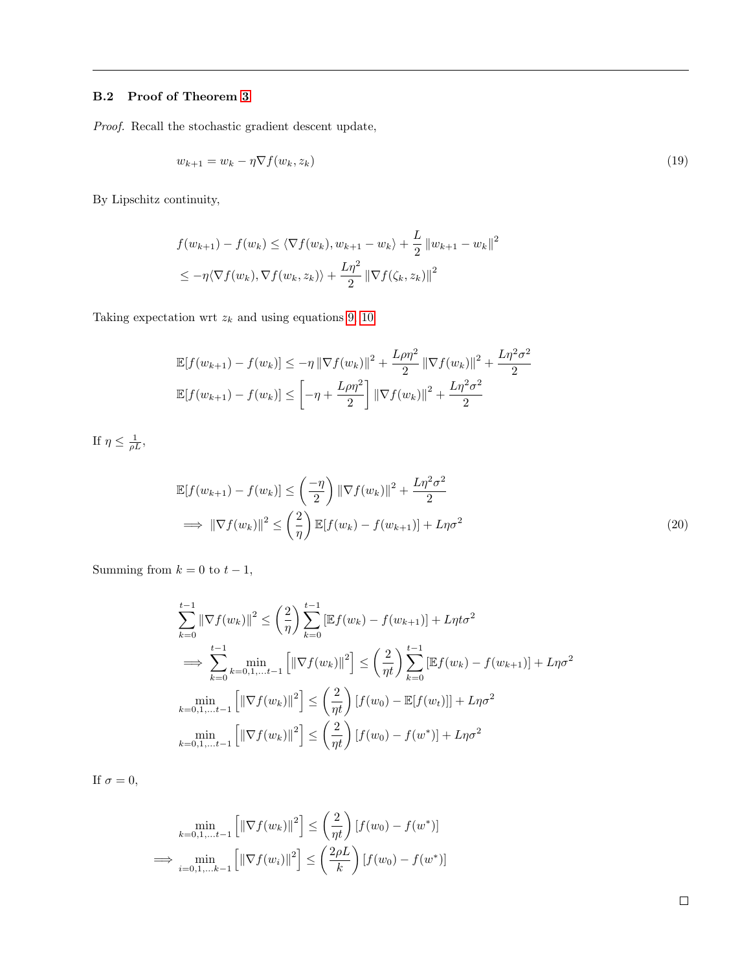## <span id="page-15-0"></span>B.2 Proof of Theorem [3](#page-3-5)

Proof. Recall the stochastic gradient descent update,

$$
w_{k+1} = w_k - \eta \nabla f(w_k, z_k) \tag{19}
$$

By Lipschitz continuity,

$$
f(w_{k+1}) - f(w_k) \le \langle \nabla f(w_k), w_{k+1} - w_k \rangle + \frac{L}{2} ||w_{k+1} - w_k||^2
$$
  

$$
\le -\eta \langle \nabla f(w_k), \nabla f(w_k, z_k) \rangle + \frac{L\eta^2}{2} ||\nabla f(\zeta_k, z_k)||^2
$$

Taking expectation wrt  $z_k$  and using equations [9,](#page-10-3) [10](#page-10-0)

$$
\mathbb{E}[f(w_{k+1}) - f(w_k)] \le -\eta \|\nabla f(w_k)\|^2 + \frac{L\rho\eta^2}{2} \|\nabla f(w_k)\|^2 + \frac{L\eta^2\sigma^2}{2}
$$
  

$$
\mathbb{E}[f(w_{k+1}) - f(w_k)] \le -\eta + \frac{L\rho\eta^2}{2} \|\nabla f(w_k)\|^2 + \frac{L\eta^2\sigma^2}{2}
$$

If  $\eta \leq \frac{1}{\rho L}$ ,

$$
\mathbb{E}[f(w_{k+1}) - f(w_k)] \le \left(\frac{-\eta}{2}\right) \|\nabla f(w_k)\|^2 + \frac{L\eta^2 \sigma^2}{2}
$$
\n
$$
\implies \|\nabla f(w_k)\|^2 \le \left(\frac{2}{\eta}\right) \mathbb{E}[f(w_k) - f(w_{k+1})] + L\eta \sigma^2 \tag{20}
$$

Summing from  $k = 0$  to  $t - 1$ ,

$$
\sum_{k=0}^{t-1} \|\nabla f(w_k)\|^2 \le \left(\frac{2}{\eta}\right) \sum_{k=0}^{t-1} \left[\mathbb{E} f(w_k) - f(w_{k+1})\right] + L\eta t \sigma^2
$$
\n
$$
\implies \sum_{k=0}^{t-1} \min_{k=0,1,\dots,t-1} \left[\|\nabla f(w_k)\|^2\right] \le \left(\frac{2}{\eta t}\right) \sum_{k=0}^{t-1} \left[\mathbb{E} f(w_k) - f(w_{k+1})\right] + L\eta \sigma^2
$$
\n
$$
\min_{k=0,1,\dots,t-1} \left[\|\nabla f(w_k)\|^2\right] \le \left(\frac{2}{\eta t}\right) \left[f(w_0) - \mathbb{E}[f(w_t)]\right] + L\eta \sigma^2
$$
\n
$$
\min_{k=0,1,\dots,t-1} \left[\|\nabla f(w_k)\|^2\right] \le \left(\frac{2}{\eta t}\right) \left[f(w_0) - f(w^*)\right] + L\eta \sigma^2
$$

If  $\sigma=0,$ 

$$
\min_{k=0,1,...t-1} \left[ \left\| \nabla f(w_k) \right\|^2 \right] \le \left( \frac{2}{\eta t} \right) [f(w_0) - f(w^*)]
$$
  
\n
$$
\implies \min_{i=0,1,...k-1} \left[ \left\| \nabla f(w_i) \right\|^2 \right] \le \left( \frac{2\rho L}{k} \right) [f(w_0) - f(w^*)]
$$

 $\Box$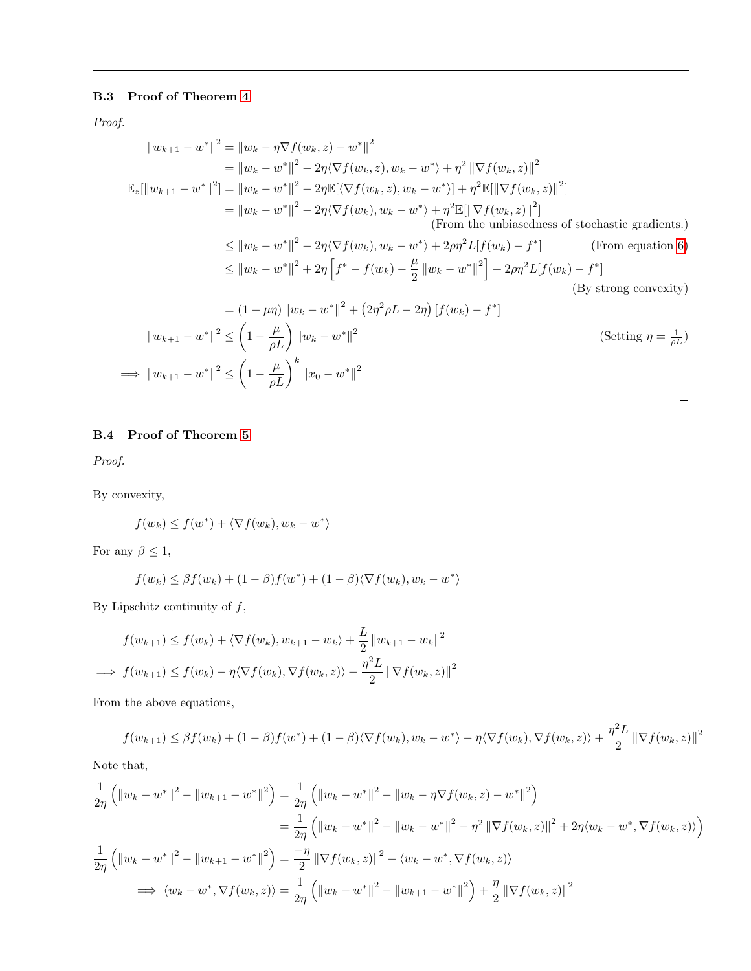## <span id="page-16-0"></span>B.3 Proof of Theorem [4](#page-3-2)

Proof.

$$
||w_{k+1} - w^*||^2 = ||w_k - \eta \nabla f(w_k, z) - w^*||^2
$$
  
\n
$$
= ||w_k - w^*||^2 - 2\eta \langle \nabla f(w_k, z), w_k - w^* \rangle + \eta^2 ||\nabla f(w_k, z)||^2
$$
  
\n
$$
\mathbb{E}_z[||w_{k+1} - w^*||^2] = ||w_k - w^*||^2 - 2\eta \mathbb{E}[\langle \nabla f(w_k, z), w_k - w^* \rangle] + \eta^2 \mathbb{E}[||\nabla f(w_k, z)||^2]
$$
  
\n
$$
= ||w_k - w^*||^2 - 2\eta \langle \nabla f(w_k), w_k - w^* \rangle + \eta^2 \mathbb{E}[||\nabla f(w_k, z)||^2]
$$
  
\n(From the unbiasedness of stochastic gradients.)  
\n
$$
\le ||w_k - w^*||^2 - 2\eta \langle \nabla f(w_k), w_k - w^* \rangle + 2\rho \eta^2 L[f(w_k) - f^*]
$$
  
\n
$$
\le ||w_k - w^*||^2 + 2\eta \left[ f^* - f(w_k) - \frac{\mu}{2} ||w_k - w^*||^2 \right] + 2\rho \eta^2 L[f(w_k) - f^*]
$$
  
\n(By strong convexity)  
\n(By strong convexity)

$$
= (1 - \mu \eta) \|w_k - w^*\|^2 + (2\eta^2 \rho L - 2\eta) [f(w_k) - f^*]
$$
  

$$
\|w_{k+1} - w^*\|^2 \le \left(1 - \frac{\mu}{\rho L}\right) \|w_k - w^*\|^2
$$
  

$$
\implies \|w_{k+1} - w^*\|^2 \le \left(1 - \frac{\mu}{\rho L}\right)^k \|x_0 - w^*\|^2
$$
  
(Setting  $\eta = \frac{1}{\rho L}$ )

 $\Box$ 

## <span id="page-16-1"></span>B.4 Proof of Theorem [5](#page-3-3)

Proof.

By convexity,

$$
f(w_k) \le f(w^*) + \langle \nabla f(w_k), w_k - w^* \rangle
$$

For any  $\beta \leq 1$ ,

$$
f(w_k) \le \beta f(w_k) + (1 - \beta)f(w^*) + (1 - \beta)\langle \nabla f(w_k), w_k - w^* \rangle
$$

By Lipschitz continuity of  $f$ ,

$$
f(w_{k+1}) \le f(w_k) + \langle \nabla f(w_k), w_{k+1} - w_k \rangle + \frac{L}{2} ||w_{k+1} - w_k||^2
$$
  
\n
$$
\implies f(w_{k+1}) \le f(w_k) - \eta \langle \nabla f(w_k), \nabla f(w_k, z) \rangle + \frac{\eta^2 L}{2} ||\nabla f(w_k, z)||^2
$$

From the above equations,

$$
f(w_{k+1}) \leq \beta f(w_k) + (1-\beta)f(w^*) + (1-\beta)\langle \nabla f(w_k), w_k - w^* \rangle - \eta \langle \nabla f(w_k), \nabla f(w_k, z) \rangle + \frac{\eta^2 L}{2} ||\nabla f(w_k, z)||^2
$$

Note that,

$$
\frac{1}{2\eta} \left( \|w_k - w^*\|^2 - \|w_{k+1} - w^*\|^2 \right) = \frac{1}{2\eta} \left( \|w_k - w^*\|^2 - \|w_k - \eta \nabla f(w_k, z) - w^*\|^2 \right)
$$
\n
$$
= \frac{1}{2\eta} \left( \|w_k - w^*\|^2 - \|w_k - w^*\|^2 - \eta^2 \|\nabla f(w_k, z)\|^2 + 2\eta \langle w_k - w^*, \nabla f(w_k, z) \rangle \right)
$$
\n
$$
\frac{1}{2\eta} \left( \|w_k - w^*\|^2 - \|w_{k+1} - w^*\|^2 \right) = \frac{-\eta}{2} \|\nabla f(w_k, z)\|^2 + \langle w_k - w^*, \nabla f(w_k, z) \rangle
$$
\n
$$
\implies \langle w_k - w^*, \nabla f(w_k, z) \rangle = \frac{1}{2\eta} \left( \|w_k - w^*\|^2 - \|w_{k+1} - w^*\|^2 \right) + \frac{\eta}{2} \|\nabla f(w_k, z)\|^2
$$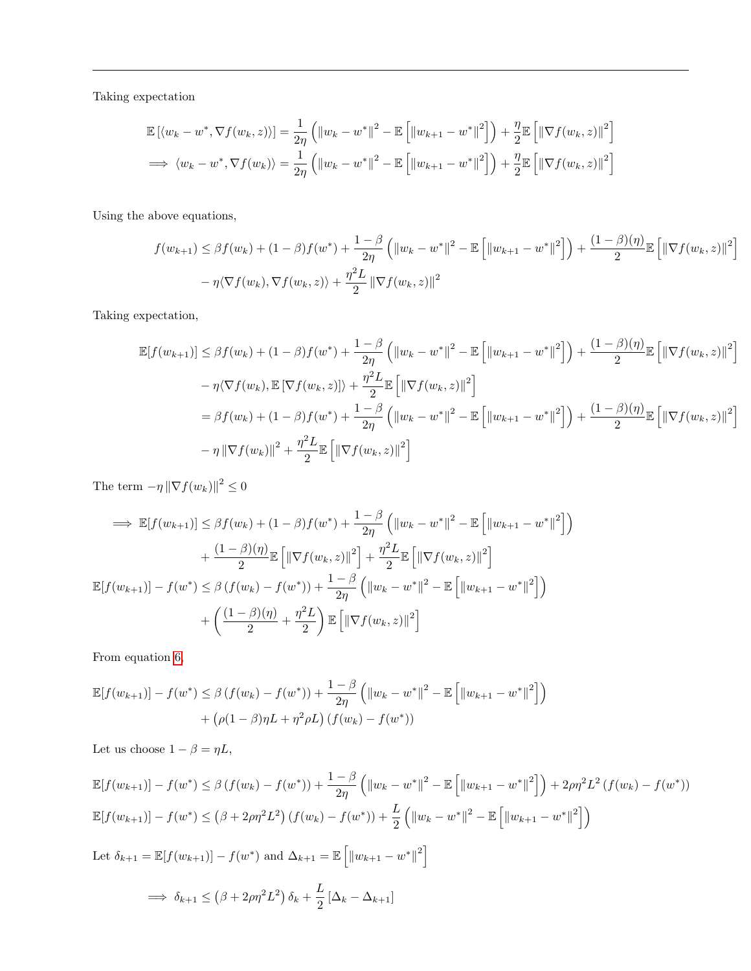Taking expectation

$$
\mathbb{E}\left[\langle w_k - w^*, \nabla f(w_k, z)\rangle\right] = \frac{1}{2\eta} \left( \left\|w_k - w^*\right\|^2 - \mathbb{E}\left[\left\|w_{k+1} - w^*\right\|^2\right] \right) + \frac{\eta}{2} \mathbb{E}\left[\left\|\nabla f(w_k, z)\right\|^2\right]
$$
  
\n
$$
\implies \langle w_k - w^*, \nabla f(w_k) \rangle = \frac{1}{2\eta} \left( \left\|w_k - w^*\right\|^2 - \mathbb{E}\left[\left\|w_{k+1} - w^*\right\|^2\right] \right) + \frac{\eta}{2} \mathbb{E}\left[\left\|\nabla f(w_k, z)\right\|^2\right]
$$

Using the above equations,

$$
f(w_{k+1}) \le \beta f(w_k) + (1 - \beta)f(w^*) + \frac{1 - \beta}{2\eta} (\|w_k - w^*\|^2 - \mathbb{E}\left[\|w_{k+1} - w^*\|^2\right]) + \frac{(1 - \beta)(\eta)}{2} \mathbb{E}\left[\|\nabla f(w_k, z)\|^2\right] - \eta \langle \nabla f(w_k, z) \rangle + \frac{\eta^2 L}{2} \|\nabla f(w_k, z)\|^2
$$

Taking expectation,

$$
\mathbb{E}[f(w_{k+1})] \leq \beta f(w_k) + (1 - \beta)f(w^*) + \frac{1 - \beta}{2\eta} \left( ||w_k - w^*||^2 - \mathbb{E}\left[ ||w_{k+1} - w^*||^2 \right] \right) + \frac{(1 - \beta)(\eta)}{2} \mathbb{E}\left[ ||\nabla f(w_k, z)||^2 \right] \n- \eta \langle \nabla f(w_k), \mathbb{E}[\nabla f(w_k, z)] \rangle + \frac{\eta^2 L}{2} \mathbb{E}\left[ ||\nabla f(w_k, z)||^2 \right] \n= \beta f(w_k) + (1 - \beta)f(w^*) + \frac{1 - \beta}{2\eta} \left( ||w_k - w^*||^2 - \mathbb{E}\left[ ||w_{k+1} - w^*||^2 \right] \right) + \frac{(1 - \beta)(\eta)}{2} \mathbb{E}\left[ ||\nabla f(w_k, z)||^2 \right] \n- \eta \left\| \nabla f(w_k) \right\|^2 + \frac{\eta^2 L}{2} \mathbb{E}\left[ ||\nabla f(w_k, z)||^2 \right]
$$

The term  $-\eta \|\nabla f(w_k)\|^2 \leq 0$ 

$$
\implies \mathbb{E}[f(w_{k+1})] \leq \beta f(w_k) + (1-\beta)f(w^*) + \frac{1-\beta}{2\eta} \left( \|w_k - w^*\|^2 - \mathbb{E}\left[ \|w_{k+1} - w^*\|^2 \right] \right) + \frac{(1-\beta)(\eta)}{2} \mathbb{E}\left[ \|\nabla f(w_k, z)\|^2 \right] + \frac{\eta^2 L}{2} \mathbb{E}\left[ \|\nabla f(w_k, z)\|^2 \right] \n\mathbb{E}[f(w_{k+1})] - f(w^*) \leq \beta \left( f(w_k) - f(w^*) \right) + \frac{1-\beta}{2\eta} \left( \|w_k - w^*\|^2 - \mathbb{E}\left[ \|w_{k+1} - w^*\|^2 \right] \right) + \left( \frac{(1-\beta)(\eta)}{2} + \frac{\eta^2 L}{2} \right) \mathbb{E}\left[ \|\nabla f(w_k, z)\|^2 \right]
$$

From equation [6,](#page-3-6)

$$
\mathbb{E}[f(w_{k+1})] - f(w^*) \le \beta (f(w_k) - f(w^*)) + \frac{1-\beta}{2\eta} (||w_k - w^*||^2 - \mathbb{E}[||w_{k+1} - w^*||^2])
$$
  
+ 
$$
(\rho(1-\beta)\eta L + \eta^2 \rho L) (f(w_k) - f(w^*))
$$

Let us choose  $1 - \beta = \eta L$ ,

$$
\mathbb{E}[f(w_{k+1})] - f(w^*) \le \beta (f(w_k) - f(w^*)) + \frac{1-\beta}{2\eta} \left( \|w_k - w^*\|^2 - \mathbb{E}\left[\|w_{k+1} - w^*\|^2\right] \right) + 2\rho\eta^2 L^2 (f(w_k) - f(w^*))
$$
  

$$
\mathbb{E}[f(w_{k+1})] - f(w^*) \le (\beta + 2\rho\eta^2 L^2) (f(w_k) - f(w^*)) + \frac{L}{2} \left( \|w_k - w^*\|^2 - \mathbb{E}\left[\|w_{k+1} - w^*\|^2\right] \right)
$$
  
Let  $\delta_{k+1} = \mathbb{E}[f(w_{k+1})] - f(w^*)$  and  $\Delta_{k+1} = \mathbb{E}\left[\|w_{k+1} - w^*\|^2\right]$   
 $\implies \delta_{k+1} \le (\beta + 2\rho\eta^2 L^2) \delta_k + \frac{L}{2} [\Delta_k - \Delta_{k+1}]$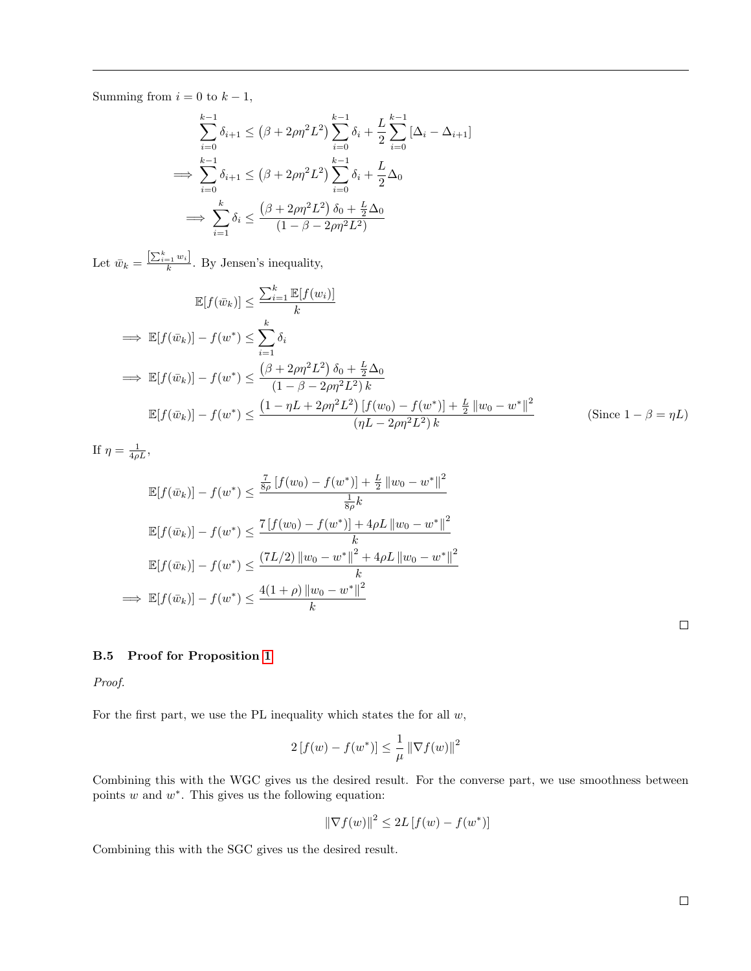Summing from  $i = 0$  to  $k - 1$ ,

$$
\sum_{i=0}^{k-1} \delta_{i+1} \le (\beta + 2\rho\eta^2 L^2) \sum_{i=0}^{k-1} \delta_i + \frac{L}{2} \sum_{i=0}^{k-1} [\Delta_i - \Delta_{i+1}]
$$
  
\n
$$
\implies \sum_{i=0}^{k-1} \delta_{i+1} \le (\beta + 2\rho\eta^2 L^2) \sum_{i=0}^{k-1} \delta_i + \frac{L}{2} \Delta_0
$$
  
\n
$$
\implies \sum_{i=1}^k \delta_i \le \frac{(\beta + 2\rho\eta^2 L^2) \delta_0 + \frac{L}{2} \Delta_0}{(1 - \beta - 2\rho\eta^2 L^2)}
$$

Let  $\bar{w}_k = \frac{\left[\sum_{i=1}^k w_i\right]}{k}$ . By Jensen's inequality,

$$
\mathbb{E}[f(\bar{w}_k)] \le \frac{\sum_{i=1}^k \mathbb{E}[f(w_i)]}{k}
$$
\n
$$
\implies \mathbb{E}[f(\bar{w}_k)] - f(w^*) \le \sum_{i=1}^k \delta_i
$$
\n
$$
\implies \mathbb{E}[f(\bar{w}_k)] - f(w^*) \le \frac{(\beta + 2\rho\eta^2 L^2)\,\delta_0 + \frac{L}{2}\Delta_0}{(1 - \beta - 2\rho\eta^2 L^2)k}
$$
\n
$$
\mathbb{E}[f(\bar{w}_k)] - f(w^*) \le \frac{(1 - \eta L + 2\rho\eta^2 L^2)\,[f(w_0) - f(w^*)] + \frac{L}{2}\,[w_0 - w^*]^2}{(\eta L - 2\rho\eta^2 L^2)k}
$$
\n(Since  $1 - \beta = \eta L$ )

If  $\eta = \frac{1}{4\rho L}$ ,

$$
\mathbb{E}[f(\bar{w}_k)] - f(w^*) \le \frac{\frac{7}{8\rho} [f(w_0) - f(w^*)] + \frac{L}{2} ||w_0 - w^*||^2}{\frac{1}{8\rho} k}
$$
  

$$
\mathbb{E}[f(\bar{w}_k)] - f(w^*) \le \frac{7 [f(w_0) - f(w^*)] + 4\rho L ||w_0 - w^*||^2}{k}
$$
  

$$
\mathbb{E}[f(\bar{w}_k)] - f(w^*) \le \frac{(7L/2) ||w_0 - w^*||^2 + 4\rho L ||w_0 - w^*||^2}{k}
$$
  

$$
\implies \mathbb{E}[f(\bar{w}_k)] - f(w^*) \le \frac{4(1+\rho) ||w_0 - w^*||^2}{k}
$$

 $\Box$ 

### <span id="page-18-0"></span>B.5 Proof for Proposition [1](#page-3-7)

Proof.

For the first part, we use the PL inequality which states the for all  $w$ ,

$$
2[f(w) - f(w^*)] \le \frac{1}{\mu} ||\nabla f(w)||^2
$$

Combining this with the WGC gives us the desired result. For the converse part, we use smoothness between points  $w$  and  $w^*$ . This gives us the following equation:

$$
\left\|\nabla f(w)\right\|^2 \le 2L\left[f(w) - f(w^*)\right]
$$

Combining this with the SGC gives us the desired result.